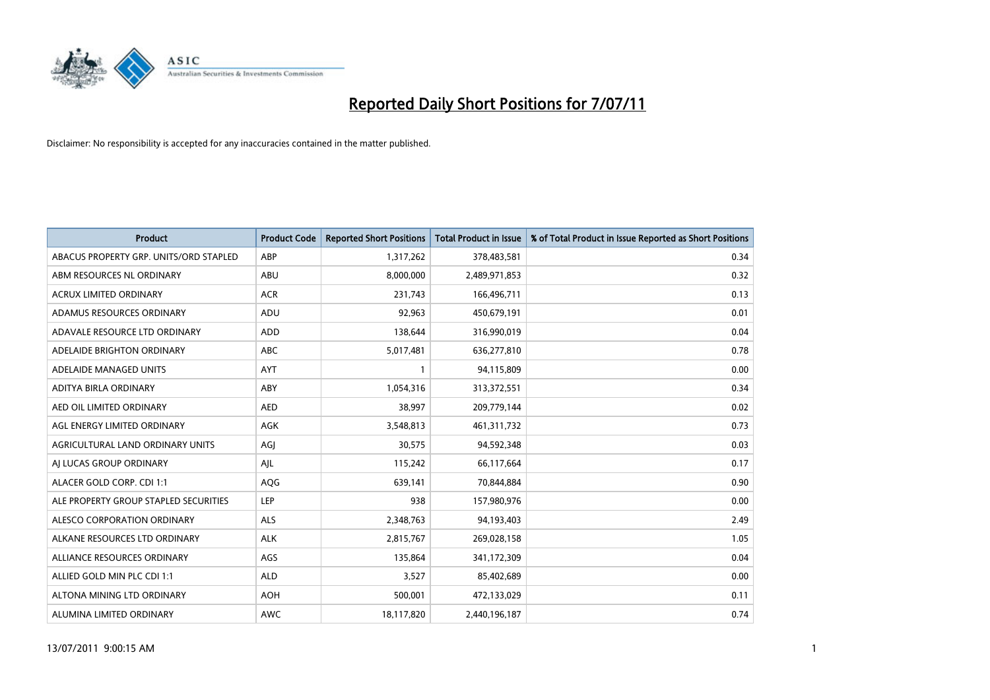

| <b>Product</b>                         | <b>Product Code</b> | <b>Reported Short Positions</b> | <b>Total Product in Issue</b> | % of Total Product in Issue Reported as Short Positions |
|----------------------------------------|---------------------|---------------------------------|-------------------------------|---------------------------------------------------------|
| ABACUS PROPERTY GRP. UNITS/ORD STAPLED | ABP                 | 1,317,262                       | 378,483,581                   | 0.34                                                    |
| ABM RESOURCES NL ORDINARY              | ABU                 | 8,000,000                       | 2,489,971,853                 | 0.32                                                    |
| <b>ACRUX LIMITED ORDINARY</b>          | <b>ACR</b>          | 231,743                         | 166,496,711                   | 0.13                                                    |
| ADAMUS RESOURCES ORDINARY              | ADU                 | 92,963                          | 450,679,191                   | 0.01                                                    |
| ADAVALE RESOURCE LTD ORDINARY          | <b>ADD</b>          | 138,644                         | 316,990,019                   | 0.04                                                    |
| ADELAIDE BRIGHTON ORDINARY             | <b>ABC</b>          | 5,017,481                       | 636,277,810                   | 0.78                                                    |
| ADELAIDE MANAGED UNITS                 | <b>AYT</b>          |                                 | 94,115,809                    | 0.00                                                    |
| ADITYA BIRLA ORDINARY                  | ABY                 | 1,054,316                       | 313,372,551                   | 0.34                                                    |
| AED OIL LIMITED ORDINARY               | <b>AED</b>          | 38,997                          | 209,779,144                   | 0.02                                                    |
| AGL ENERGY LIMITED ORDINARY            | <b>AGK</b>          | 3,548,813                       | 461,311,732                   | 0.73                                                    |
| AGRICULTURAL LAND ORDINARY UNITS       | AGJ                 | 30,575                          | 94,592,348                    | 0.03                                                    |
| AI LUCAS GROUP ORDINARY                | AJL                 | 115,242                         | 66,117,664                    | 0.17                                                    |
| ALACER GOLD CORP. CDI 1:1              | AQG                 | 639,141                         | 70,844,884                    | 0.90                                                    |
| ALE PROPERTY GROUP STAPLED SECURITIES  | <b>LEP</b>          | 938                             | 157,980,976                   | 0.00                                                    |
| ALESCO CORPORATION ORDINARY            | <b>ALS</b>          | 2,348,763                       | 94,193,403                    | 2.49                                                    |
| ALKANE RESOURCES LTD ORDINARY          | <b>ALK</b>          | 2,815,767                       | 269,028,158                   | 1.05                                                    |
| ALLIANCE RESOURCES ORDINARY            | AGS                 | 135,864                         | 341,172,309                   | 0.04                                                    |
| ALLIED GOLD MIN PLC CDI 1:1            | <b>ALD</b>          | 3,527                           | 85,402,689                    | 0.00                                                    |
| ALTONA MINING LTD ORDINARY             | <b>AOH</b>          | 500,001                         | 472,133,029                   | 0.11                                                    |
| ALUMINA LIMITED ORDINARY               | <b>AWC</b>          | 18,117,820                      | 2,440,196,187                 | 0.74                                                    |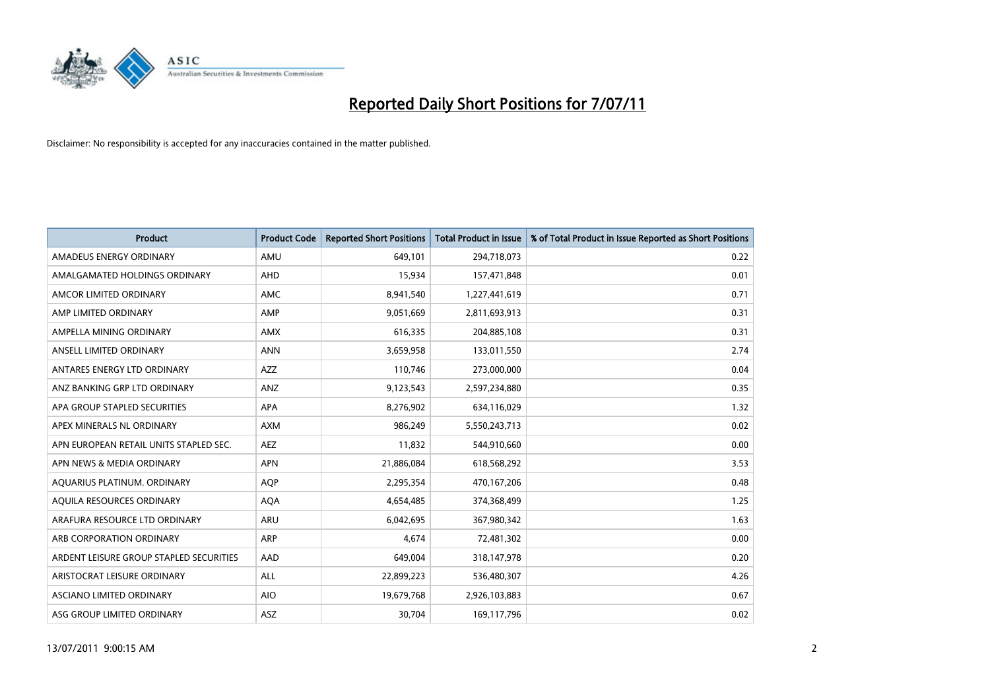

| <b>Product</b>                          | <b>Product Code</b> | <b>Reported Short Positions</b> | <b>Total Product in Issue</b> | % of Total Product in Issue Reported as Short Positions |
|-----------------------------------------|---------------------|---------------------------------|-------------------------------|---------------------------------------------------------|
| AMADEUS ENERGY ORDINARY                 | AMU                 | 649,101                         | 294,718,073                   | 0.22                                                    |
| AMALGAMATED HOLDINGS ORDINARY           | AHD                 | 15,934                          | 157,471,848                   | 0.01                                                    |
| AMCOR LIMITED ORDINARY                  | <b>AMC</b>          | 8,941,540                       | 1,227,441,619                 | 0.71                                                    |
| AMP LIMITED ORDINARY                    | AMP                 | 9,051,669                       | 2,811,693,913                 | 0.31                                                    |
| AMPELLA MINING ORDINARY                 | <b>AMX</b>          | 616,335                         | 204,885,108                   | 0.31                                                    |
| ANSELL LIMITED ORDINARY                 | <b>ANN</b>          | 3,659,958                       | 133,011,550                   | 2.74                                                    |
| ANTARES ENERGY LTD ORDINARY             | <b>AZZ</b>          | 110.746                         | 273,000,000                   | 0.04                                                    |
| ANZ BANKING GRP LTD ORDINARY            | ANZ                 | 9,123,543                       | 2,597,234,880                 | 0.35                                                    |
| APA GROUP STAPLED SECURITIES            | <b>APA</b>          | 8,276,902                       | 634,116,029                   | 1.32                                                    |
| APEX MINERALS NL ORDINARY               | <b>AXM</b>          | 986,249                         | 5,550,243,713                 | 0.02                                                    |
| APN EUROPEAN RETAIL UNITS STAPLED SEC.  | <b>AEZ</b>          | 11,832                          | 544,910,660                   | 0.00                                                    |
| APN NEWS & MEDIA ORDINARY               | <b>APN</b>          | 21,886,084                      | 618,568,292                   | 3.53                                                    |
| AQUARIUS PLATINUM. ORDINARY             | <b>AOP</b>          | 2,295,354                       | 470,167,206                   | 0.48                                                    |
| AQUILA RESOURCES ORDINARY               | <b>AQA</b>          | 4,654,485                       | 374,368,499                   | 1.25                                                    |
| ARAFURA RESOURCE LTD ORDINARY           | ARU                 | 6,042,695                       | 367,980,342                   | 1.63                                                    |
| ARB CORPORATION ORDINARY                | <b>ARP</b>          | 4.674                           | 72,481,302                    | 0.00                                                    |
| ARDENT LEISURE GROUP STAPLED SECURITIES | AAD                 | 649,004                         | 318,147,978                   | 0.20                                                    |
| ARISTOCRAT LEISURE ORDINARY             | <b>ALL</b>          | 22,899,223                      | 536,480,307                   | 4.26                                                    |
| ASCIANO LIMITED ORDINARY                | <b>AIO</b>          | 19,679,768                      | 2,926,103,883                 | 0.67                                                    |
| ASG GROUP LIMITED ORDINARY              | <b>ASZ</b>          | 30,704                          | 169,117,796                   | 0.02                                                    |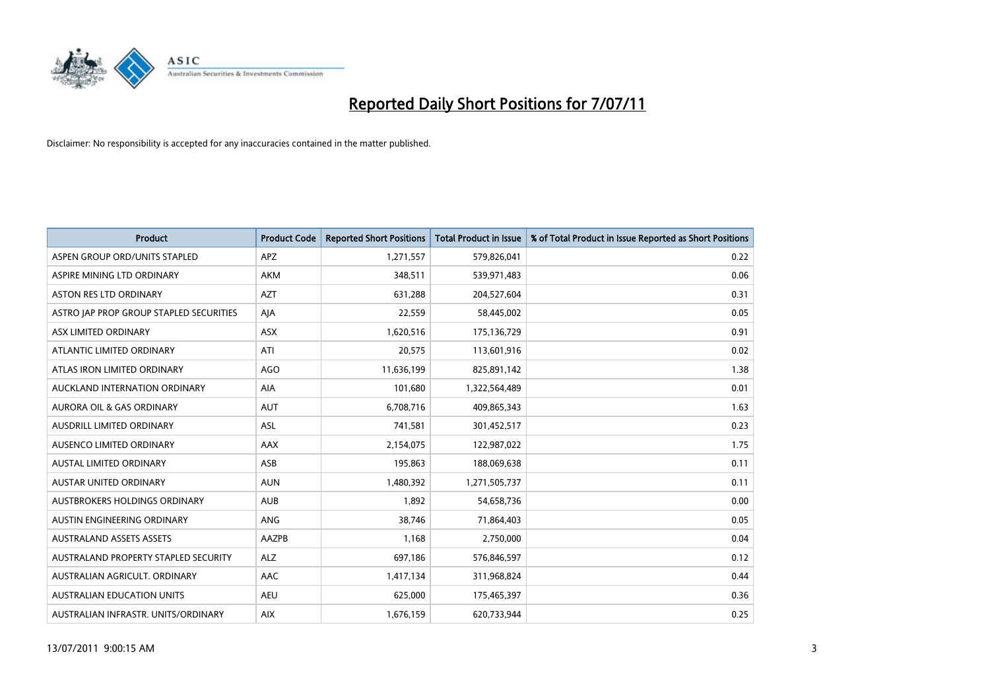

| <b>Product</b>                          | <b>Product Code</b> | <b>Reported Short Positions</b> | Total Product in Issue | % of Total Product in Issue Reported as Short Positions |
|-----------------------------------------|---------------------|---------------------------------|------------------------|---------------------------------------------------------|
| ASPEN GROUP ORD/UNITS STAPLED           | <b>APZ</b>          | 1,271,557                       | 579,826,041            | 0.22                                                    |
| ASPIRE MINING LTD ORDINARY              | <b>AKM</b>          | 348,511                         | 539,971,483            | 0.06                                                    |
| <b>ASTON RES LTD ORDINARY</b>           | <b>AZT</b>          | 631,288                         | 204,527,604            | 0.31                                                    |
| ASTRO JAP PROP GROUP STAPLED SECURITIES | AJA                 | 22,559                          | 58,445,002             | 0.05                                                    |
| ASX LIMITED ORDINARY                    | <b>ASX</b>          | 1,620,516                       | 175,136,729            | 0.91                                                    |
| ATLANTIC LIMITED ORDINARY               | ATI                 | 20,575                          | 113,601,916            | 0.02                                                    |
| ATLAS IRON LIMITED ORDINARY             | AGO                 | 11,636,199                      | 825,891,142            | 1.38                                                    |
| AUCKLAND INTERNATION ORDINARY           | AIA                 | 101,680                         | 1,322,564,489          | 0.01                                                    |
| AURORA OIL & GAS ORDINARY               | <b>AUT</b>          | 6,708,716                       | 409,865,343            | 1.63                                                    |
| AUSDRILL LIMITED ORDINARY               | <b>ASL</b>          | 741,581                         | 301,452,517            | 0.23                                                    |
| AUSENCO LIMITED ORDINARY                | <b>AAX</b>          | 2,154,075                       | 122,987,022            | 1.75                                                    |
| <b>AUSTAL LIMITED ORDINARY</b>          | ASB                 | 195,863                         | 188,069,638            | 0.11                                                    |
| <b>AUSTAR UNITED ORDINARY</b>           | <b>AUN</b>          | 1,480,392                       | 1,271,505,737          | 0.11                                                    |
| AUSTBROKERS HOLDINGS ORDINARY           | <b>AUB</b>          | 1,892                           | 54,658,736             | 0.00                                                    |
| AUSTIN ENGINEERING ORDINARY             | <b>ANG</b>          | 38,746                          | 71,864,403             | 0.05                                                    |
| <b>AUSTRALAND ASSETS ASSETS</b>         | AAZPB               | 1,168                           | 2,750,000              | 0.04                                                    |
| AUSTRALAND PROPERTY STAPLED SECURITY    | <b>ALZ</b>          | 697,186                         | 576,846,597            | 0.12                                                    |
| AUSTRALIAN AGRICULT. ORDINARY           | <b>AAC</b>          | 1,417,134                       | 311,968,824            | 0.44                                                    |
| <b>AUSTRALIAN EDUCATION UNITS</b>       | <b>AEU</b>          | 625,000                         | 175,465,397            | 0.36                                                    |
| AUSTRALIAN INFRASTR, UNITS/ORDINARY     | <b>AIX</b>          | 1,676,159                       | 620,733,944            | 0.25                                                    |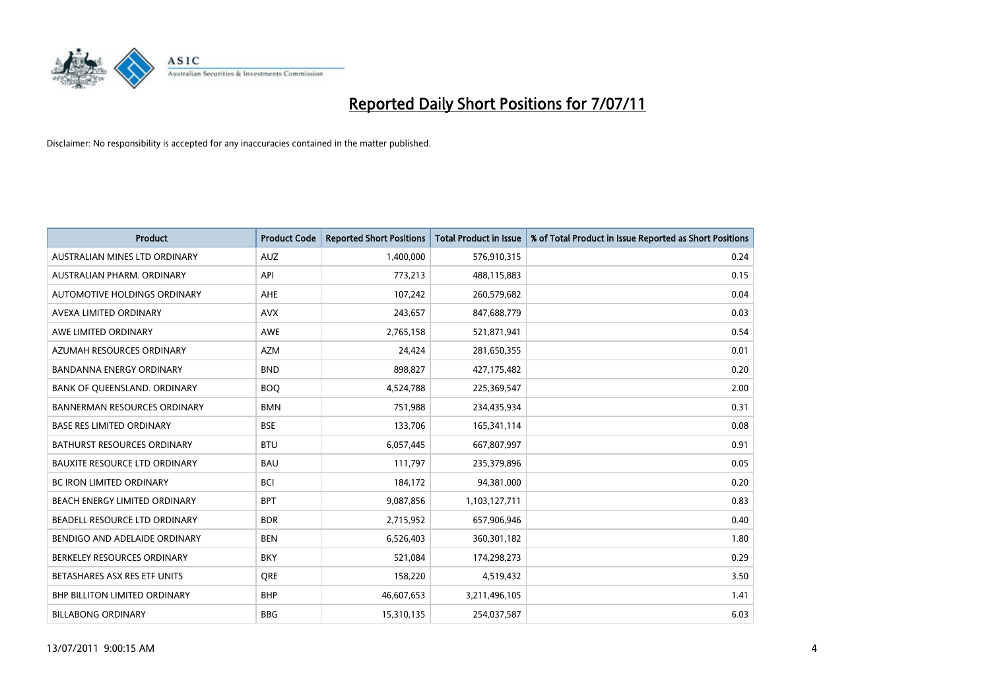

| <b>Product</b>                       | <b>Product Code</b> | <b>Reported Short Positions</b> | Total Product in Issue | % of Total Product in Issue Reported as Short Positions |
|--------------------------------------|---------------------|---------------------------------|------------------------|---------------------------------------------------------|
| AUSTRALIAN MINES LTD ORDINARY        | <b>AUZ</b>          | 1,400,000                       | 576,910,315            | 0.24                                                    |
| AUSTRALIAN PHARM, ORDINARY           | API                 | 773,213                         | 488,115,883            | 0.15                                                    |
| AUTOMOTIVE HOLDINGS ORDINARY         | <b>AHE</b>          | 107,242                         | 260,579,682            | 0.04                                                    |
| AVEXA LIMITED ORDINARY               | <b>AVX</b>          | 243,657                         | 847,688,779            | 0.03                                                    |
| AWE LIMITED ORDINARY                 | AWE                 | 2,765,158                       | 521,871,941            | 0.54                                                    |
| AZUMAH RESOURCES ORDINARY            | <b>AZM</b>          | 24,424                          | 281,650,355            | 0.01                                                    |
| <b>BANDANNA ENERGY ORDINARY</b>      | <b>BND</b>          | 898.827                         | 427,175,482            | 0.20                                                    |
| BANK OF QUEENSLAND. ORDINARY         | <b>BOO</b>          | 4,524,788                       | 225,369,547            | 2.00                                                    |
| BANNERMAN RESOURCES ORDINARY         | <b>BMN</b>          | 751,988                         | 234,435,934            | 0.31                                                    |
| <b>BASE RES LIMITED ORDINARY</b>     | <b>BSE</b>          | 133,706                         | 165,341,114            | 0.08                                                    |
| BATHURST RESOURCES ORDINARY          | <b>BTU</b>          | 6,057,445                       | 667,807,997            | 0.91                                                    |
| <b>BAUXITE RESOURCE LTD ORDINARY</b> | <b>BAU</b>          | 111,797                         | 235,379,896            | 0.05                                                    |
| <b>BC IRON LIMITED ORDINARY</b>      | <b>BCI</b>          | 184,172                         | 94,381,000             | 0.20                                                    |
| BEACH ENERGY LIMITED ORDINARY        | <b>BPT</b>          | 9,087,856                       | 1,103,127,711          | 0.83                                                    |
| BEADELL RESOURCE LTD ORDINARY        | <b>BDR</b>          | 2,715,952                       | 657,906,946            | 0.40                                                    |
| BENDIGO AND ADELAIDE ORDINARY        | <b>BEN</b>          | 6,526,403                       | 360,301,182            | 1.80                                                    |
| BERKELEY RESOURCES ORDINARY          | <b>BKY</b>          | 521,084                         | 174,298,273            | 0.29                                                    |
| BETASHARES ASX RES ETF UNITS         | <b>ORE</b>          | 158,220                         | 4,519,432              | 3.50                                                    |
| <b>BHP BILLITON LIMITED ORDINARY</b> | <b>BHP</b>          | 46,607,653                      | 3,211,496,105          | 1.41                                                    |
| <b>BILLABONG ORDINARY</b>            | <b>BBG</b>          | 15,310,135                      | 254,037,587            | 6.03                                                    |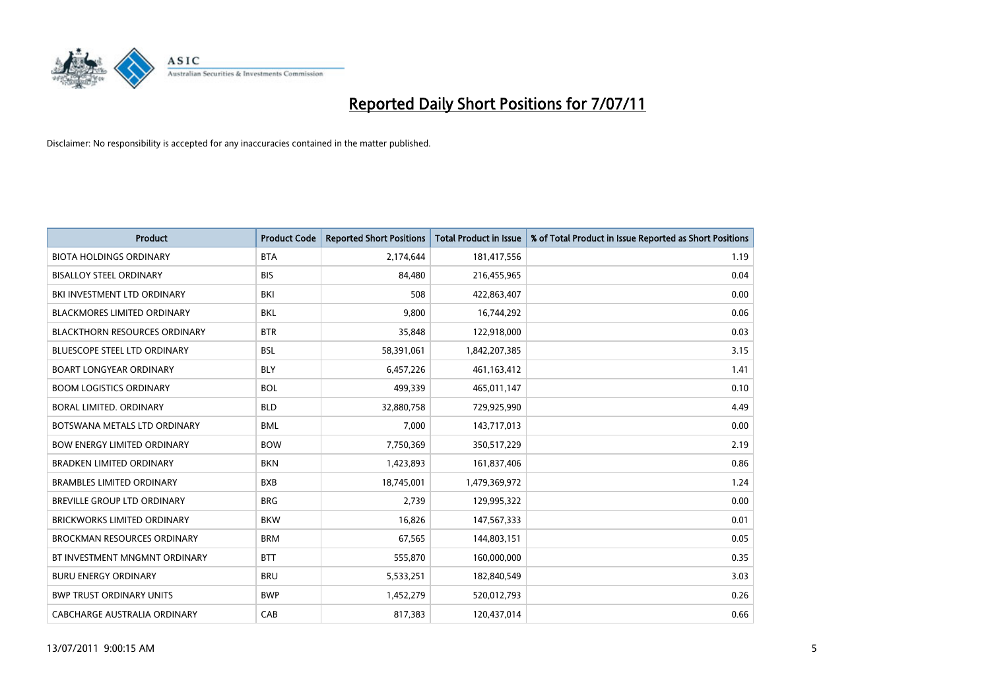

| <b>Product</b>                       | <b>Product Code</b> | <b>Reported Short Positions</b> | <b>Total Product in Issue</b> | % of Total Product in Issue Reported as Short Positions |
|--------------------------------------|---------------------|---------------------------------|-------------------------------|---------------------------------------------------------|
| <b>BIOTA HOLDINGS ORDINARY</b>       | <b>BTA</b>          | 2,174,644                       | 181,417,556                   | 1.19                                                    |
| <b>BISALLOY STEEL ORDINARY</b>       | <b>BIS</b>          | 84,480                          | 216,455,965                   | 0.04                                                    |
| BKI INVESTMENT LTD ORDINARY          | <b>BKI</b>          | 508                             | 422,863,407                   | 0.00                                                    |
| <b>BLACKMORES LIMITED ORDINARY</b>   | <b>BKL</b>          | 9,800                           | 16,744,292                    | 0.06                                                    |
| <b>BLACKTHORN RESOURCES ORDINARY</b> | <b>BTR</b>          | 35,848                          | 122,918,000                   | 0.03                                                    |
| <b>BLUESCOPE STEEL LTD ORDINARY</b>  | <b>BSL</b>          | 58,391,061                      | 1,842,207,385                 | 3.15                                                    |
| <b>BOART LONGYEAR ORDINARY</b>       | <b>BLY</b>          | 6,457,226                       | 461,163,412                   | 1.41                                                    |
| <b>BOOM LOGISTICS ORDINARY</b>       | <b>BOL</b>          | 499,339                         | 465,011,147                   | 0.10                                                    |
| BORAL LIMITED. ORDINARY              | <b>BLD</b>          | 32,880,758                      | 729,925,990                   | 4.49                                                    |
| BOTSWANA METALS LTD ORDINARY         | <b>BML</b>          | 7,000                           | 143,717,013                   | 0.00                                                    |
| <b>BOW ENERGY LIMITED ORDINARY</b>   | <b>BOW</b>          | 7,750,369                       | 350,517,229                   | 2.19                                                    |
| <b>BRADKEN LIMITED ORDINARY</b>      | <b>BKN</b>          | 1,423,893                       | 161,837,406                   | 0.86                                                    |
| <b>BRAMBLES LIMITED ORDINARY</b>     | <b>BXB</b>          | 18,745,001                      | 1,479,369,972                 | 1.24                                                    |
| BREVILLE GROUP LTD ORDINARY          | <b>BRG</b>          | 2,739                           | 129,995,322                   | 0.00                                                    |
| <b>BRICKWORKS LIMITED ORDINARY</b>   | <b>BKW</b>          | 16,826                          | 147,567,333                   | 0.01                                                    |
| <b>BROCKMAN RESOURCES ORDINARY</b>   | <b>BRM</b>          | 67,565                          | 144,803,151                   | 0.05                                                    |
| BT INVESTMENT MNGMNT ORDINARY        | <b>BTT</b>          | 555,870                         | 160,000,000                   | 0.35                                                    |
| <b>BURU ENERGY ORDINARY</b>          | <b>BRU</b>          | 5,533,251                       | 182,840,549                   | 3.03                                                    |
| <b>BWP TRUST ORDINARY UNITS</b>      | <b>BWP</b>          | 1,452,279                       | 520,012,793                   | 0.26                                                    |
| CABCHARGE AUSTRALIA ORDINARY         | CAB                 | 817,383                         | 120,437,014                   | 0.66                                                    |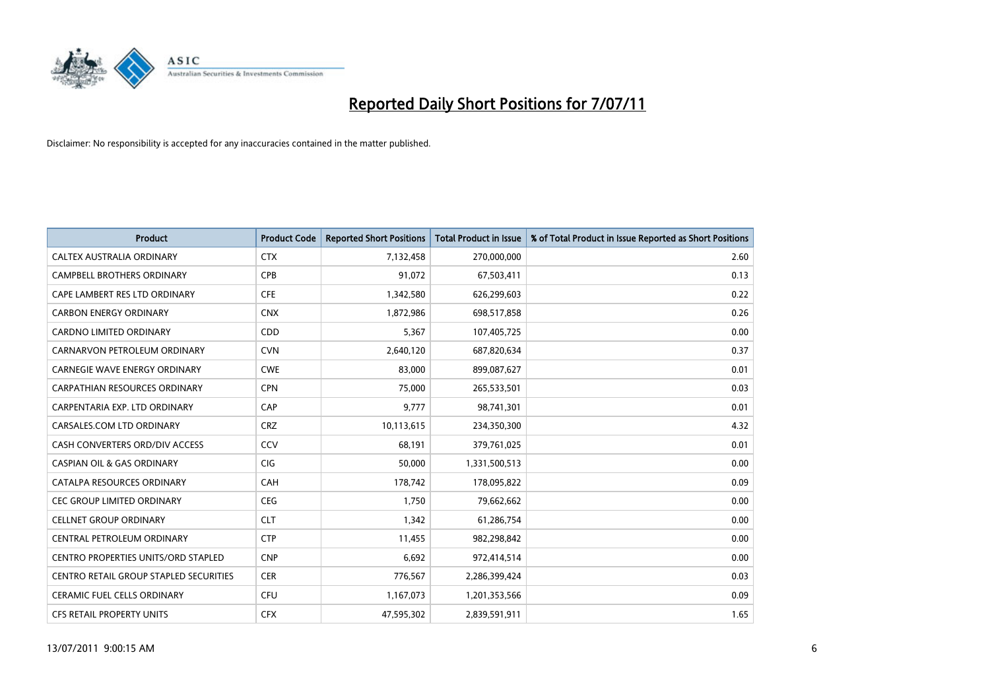

| <b>Product</b>                             | <b>Product Code</b> | <b>Reported Short Positions</b> | <b>Total Product in Issue</b> | % of Total Product in Issue Reported as Short Positions |
|--------------------------------------------|---------------------|---------------------------------|-------------------------------|---------------------------------------------------------|
| CALTEX AUSTRALIA ORDINARY                  | <b>CTX</b>          | 7,132,458                       | 270,000,000                   | 2.60                                                    |
| <b>CAMPBELL BROTHERS ORDINARY</b>          | <b>CPB</b>          | 91,072                          | 67,503,411                    | 0.13                                                    |
| CAPE LAMBERT RES LTD ORDINARY              | <b>CFE</b>          | 1,342,580                       | 626,299,603                   | 0.22                                                    |
| <b>CARBON ENERGY ORDINARY</b>              | <b>CNX</b>          | 1,872,986                       | 698,517,858                   | 0.26                                                    |
| <b>CARDNO LIMITED ORDINARY</b>             | CDD                 | 5,367                           | 107,405,725                   | 0.00                                                    |
| CARNARVON PETROLEUM ORDINARY               | <b>CVN</b>          | 2,640,120                       | 687,820,634                   | 0.37                                                    |
| <b>CARNEGIE WAVE ENERGY ORDINARY</b>       | <b>CWE</b>          | 83.000                          | 899,087,627                   | 0.01                                                    |
| CARPATHIAN RESOURCES ORDINARY              | <b>CPN</b>          | 75,000                          | 265,533,501                   | 0.03                                                    |
| CARPENTARIA EXP. LTD ORDINARY              | CAP                 | 9,777                           | 98,741,301                    | 0.01                                                    |
| CARSALES.COM LTD ORDINARY                  | <b>CRZ</b>          | 10,113,615                      | 234,350,300                   | 4.32                                                    |
| CASH CONVERTERS ORD/DIV ACCESS             | CCV                 | 68,191                          | 379,761,025                   | 0.01                                                    |
| <b>CASPIAN OIL &amp; GAS ORDINARY</b>      | <b>CIG</b>          | 50,000                          | 1,331,500,513                 | 0.00                                                    |
| CATALPA RESOURCES ORDINARY                 | CAH                 | 178,742                         | 178,095,822                   | 0.09                                                    |
| <b>CEC GROUP LIMITED ORDINARY</b>          | <b>CEG</b>          | 1,750                           | 79,662,662                    | 0.00                                                    |
| <b>CELLNET GROUP ORDINARY</b>              | <b>CLT</b>          | 1,342                           | 61,286,754                    | 0.00                                                    |
| CENTRAL PETROLEUM ORDINARY                 | <b>CTP</b>          | 11,455                          | 982,298,842                   | 0.00                                                    |
| <b>CENTRO PROPERTIES UNITS/ORD STAPLED</b> | <b>CNP</b>          | 6,692                           | 972,414,514                   | 0.00                                                    |
| CENTRO RETAIL GROUP STAPLED SECURITIES     | <b>CER</b>          | 776,567                         | 2,286,399,424                 | 0.03                                                    |
| <b>CERAMIC FUEL CELLS ORDINARY</b>         | <b>CFU</b>          | 1,167,073                       | 1,201,353,566                 | 0.09                                                    |
| <b>CFS RETAIL PROPERTY UNITS</b>           | <b>CFX</b>          | 47.595.302                      | 2,839,591,911                 | 1.65                                                    |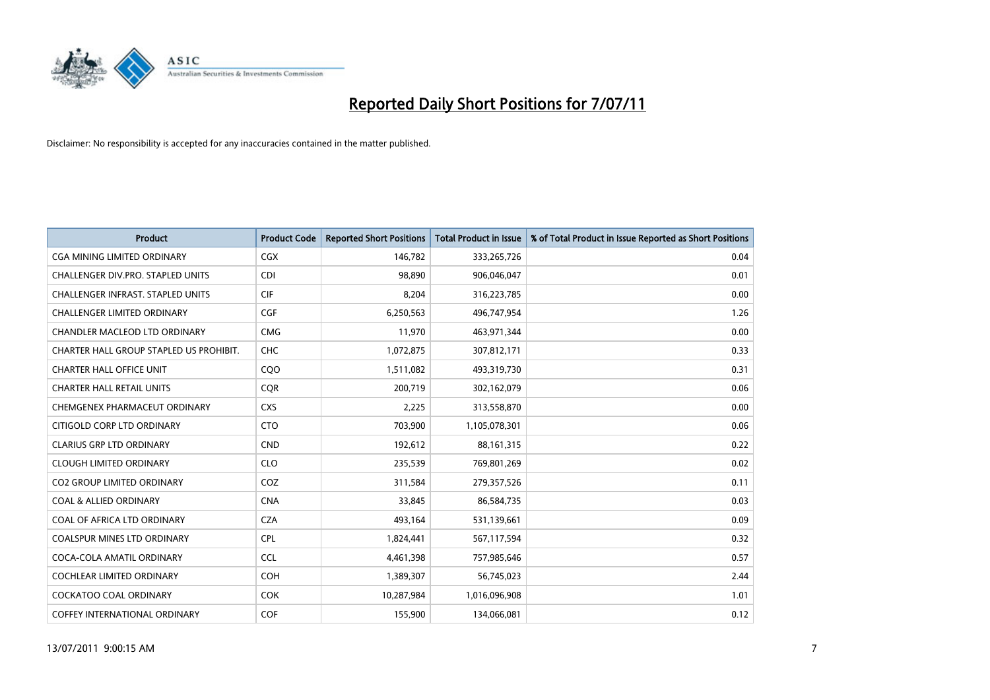

| <b>Product</b>                           | <b>Product Code</b> | <b>Reported Short Positions</b> | Total Product in Issue | % of Total Product in Issue Reported as Short Positions |
|------------------------------------------|---------------------|---------------------------------|------------------------|---------------------------------------------------------|
| <b>CGA MINING LIMITED ORDINARY</b>       | CGX                 | 146,782                         | 333,265,726            | 0.04                                                    |
| CHALLENGER DIV.PRO. STAPLED UNITS        | <b>CDI</b>          | 98.890                          | 906,046,047            | 0.01                                                    |
| <b>CHALLENGER INFRAST, STAPLED UNITS</b> | <b>CIF</b>          | 8,204                           | 316,223,785            | 0.00                                                    |
| CHALLENGER LIMITED ORDINARY              | <b>CGF</b>          | 6,250,563                       | 496,747,954            | 1.26                                                    |
| <b>CHANDLER MACLEOD LTD ORDINARY</b>     | <b>CMG</b>          | 11,970                          | 463,971,344            | 0.00                                                    |
| CHARTER HALL GROUP STAPLED US PROHIBIT.  | <b>CHC</b>          | 1,072,875                       | 307,812,171            | 0.33                                                    |
| <b>CHARTER HALL OFFICE UNIT</b>          | COO                 | 1,511,082                       | 493,319,730            | 0.31                                                    |
| <b>CHARTER HALL RETAIL UNITS</b>         | <b>CQR</b>          | 200,719                         | 302,162,079            | 0.06                                                    |
| CHEMGENEX PHARMACEUT ORDINARY            | <b>CXS</b>          | 2,225                           | 313,558,870            | 0.00                                                    |
| CITIGOLD CORP LTD ORDINARY               | <b>CTO</b>          | 703,900                         | 1,105,078,301          | 0.06                                                    |
| <b>CLARIUS GRP LTD ORDINARY</b>          | <b>CND</b>          | 192,612                         | 88,161,315             | 0.22                                                    |
| <b>CLOUGH LIMITED ORDINARY</b>           | <b>CLO</b>          | 235,539                         | 769,801,269            | 0.02                                                    |
| <b>CO2 GROUP LIMITED ORDINARY</b>        | COZ                 | 311,584                         | 279,357,526            | 0.11                                                    |
| <b>COAL &amp; ALLIED ORDINARY</b>        | <b>CNA</b>          | 33.845                          | 86,584,735             | 0.03                                                    |
| COAL OF AFRICA LTD ORDINARY              | <b>CZA</b>          | 493,164                         | 531,139,661            | 0.09                                                    |
| <b>COALSPUR MINES LTD ORDINARY</b>       | <b>CPL</b>          | 1,824,441                       | 567,117,594            | 0.32                                                    |
| COCA-COLA AMATIL ORDINARY                | <b>CCL</b>          | 4,461,398                       | 757,985,646            | 0.57                                                    |
| COCHLEAR LIMITED ORDINARY                | <b>COH</b>          | 1,389,307                       | 56,745,023             | 2.44                                                    |
| <b>COCKATOO COAL ORDINARY</b>            | <b>COK</b>          | 10,287,984                      | 1,016,096,908          | 1.01                                                    |
| COFFEY INTERNATIONAL ORDINARY            | COF                 | 155.900                         | 134,066,081            | 0.12                                                    |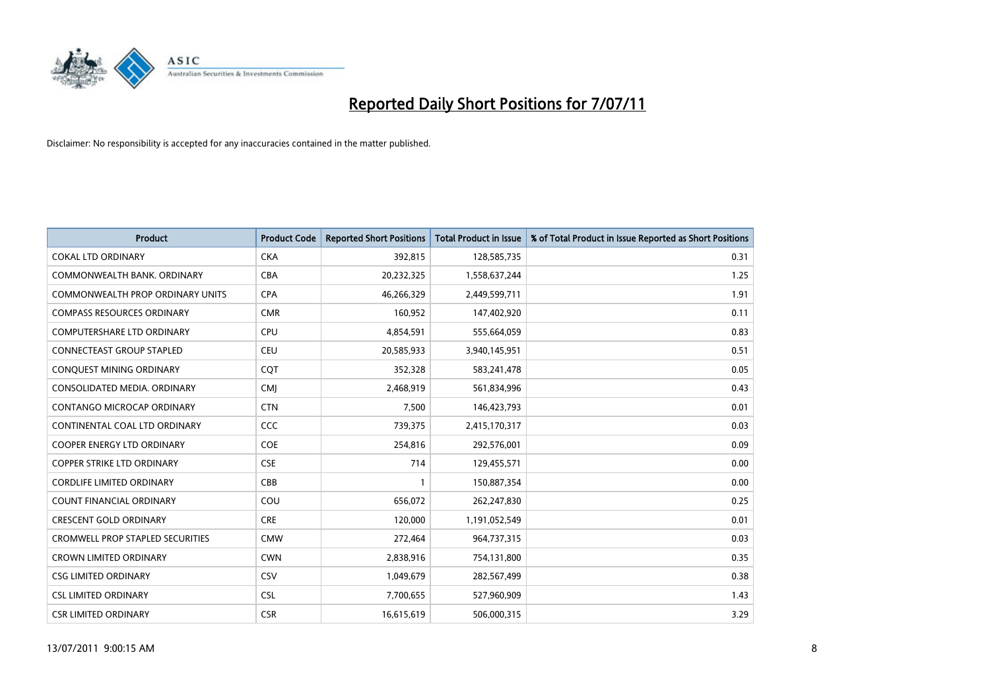

| <b>Product</b>                          | <b>Product Code</b> | <b>Reported Short Positions</b> | <b>Total Product in Issue</b> | % of Total Product in Issue Reported as Short Positions |
|-----------------------------------------|---------------------|---------------------------------|-------------------------------|---------------------------------------------------------|
| <b>COKAL LTD ORDINARY</b>               | <b>CKA</b>          | 392,815                         | 128,585,735                   | 0.31                                                    |
| COMMONWEALTH BANK, ORDINARY             | <b>CBA</b>          | 20,232,325                      | 1,558,637,244                 | 1.25                                                    |
| <b>COMMONWEALTH PROP ORDINARY UNITS</b> | <b>CPA</b>          | 46,266,329                      | 2,449,599,711                 | 1.91                                                    |
| <b>COMPASS RESOURCES ORDINARY</b>       | <b>CMR</b>          | 160,952                         | 147,402,920                   | 0.11                                                    |
| <b>COMPUTERSHARE LTD ORDINARY</b>       | CPU                 | 4,854,591                       | 555,664,059                   | 0.83                                                    |
| <b>CONNECTEAST GROUP STAPLED</b>        | <b>CEU</b>          | 20,585,933                      | 3,940,145,951                 | 0.51                                                    |
| CONQUEST MINING ORDINARY                | <b>COT</b>          | 352,328                         | 583,241,478                   | 0.05                                                    |
| CONSOLIDATED MEDIA, ORDINARY            | <b>CMI</b>          | 2,468,919                       | 561,834,996                   | 0.43                                                    |
| CONTANGO MICROCAP ORDINARY              | <b>CTN</b>          | 7,500                           | 146,423,793                   | 0.01                                                    |
| CONTINENTAL COAL LTD ORDINARY           | CCC                 | 739,375                         | 2,415,170,317                 | 0.03                                                    |
| <b>COOPER ENERGY LTD ORDINARY</b>       | <b>COE</b>          | 254,816                         | 292,576,001                   | 0.09                                                    |
| <b>COPPER STRIKE LTD ORDINARY</b>       | <b>CSE</b>          | 714                             | 129,455,571                   | 0.00                                                    |
| <b>CORDLIFE LIMITED ORDINARY</b>        | CBB                 |                                 | 150,887,354                   | 0.00                                                    |
| <b>COUNT FINANCIAL ORDINARY</b>         | COU                 | 656,072                         | 262,247,830                   | 0.25                                                    |
| <b>CRESCENT GOLD ORDINARY</b>           | <b>CRE</b>          | 120,000                         | 1,191,052,549                 | 0.01                                                    |
| <b>CROMWELL PROP STAPLED SECURITIES</b> | <b>CMW</b>          | 272,464                         | 964,737,315                   | 0.03                                                    |
| <b>CROWN LIMITED ORDINARY</b>           | <b>CWN</b>          | 2,838,916                       | 754,131,800                   | 0.35                                                    |
| <b>CSG LIMITED ORDINARY</b>             | CSV                 | 1,049,679                       | 282,567,499                   | 0.38                                                    |
| <b>CSL LIMITED ORDINARY</b>             | <b>CSL</b>          | 7,700,655                       | 527,960,909                   | 1.43                                                    |
| <b>CSR LIMITED ORDINARY</b>             | <b>CSR</b>          | 16,615,619                      | 506,000,315                   | 3.29                                                    |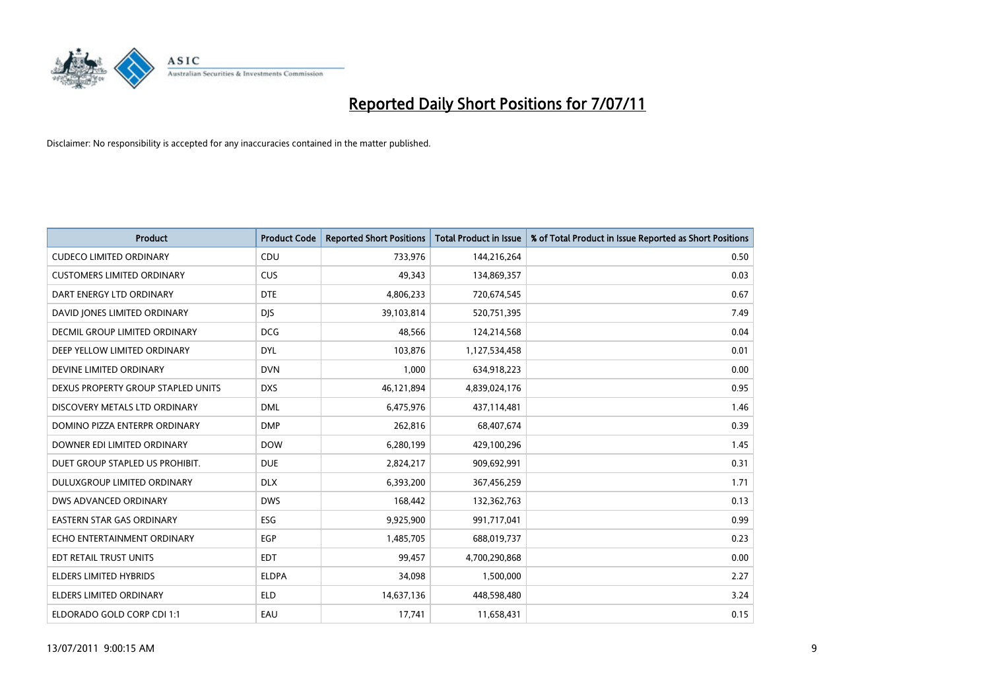

| <b>Product</b>                       | <b>Product Code</b> | <b>Reported Short Positions</b> | Total Product in Issue | % of Total Product in Issue Reported as Short Positions |
|--------------------------------------|---------------------|---------------------------------|------------------------|---------------------------------------------------------|
| <b>CUDECO LIMITED ORDINARY</b>       | CDU                 | 733,976                         | 144,216,264            | 0.50                                                    |
| <b>CUSTOMERS LIMITED ORDINARY</b>    | CUS                 | 49,343                          | 134,869,357            | 0.03                                                    |
| DART ENERGY LTD ORDINARY             | <b>DTE</b>          | 4,806,233                       | 720,674,545            | 0.67                                                    |
| DAVID JONES LIMITED ORDINARY         | <b>DJS</b>          | 39,103,814                      | 520,751,395            | 7.49                                                    |
| <b>DECMIL GROUP LIMITED ORDINARY</b> | <b>DCG</b>          | 48,566                          | 124,214,568            | 0.04                                                    |
| DEEP YELLOW LIMITED ORDINARY         | <b>DYL</b>          | 103,876                         | 1,127,534,458          | 0.01                                                    |
| DEVINE LIMITED ORDINARY              | <b>DVN</b>          | 1,000                           | 634,918,223            | 0.00                                                    |
| DEXUS PROPERTY GROUP STAPLED UNITS   | <b>DXS</b>          | 46,121,894                      | 4,839,024,176          | 0.95                                                    |
| DISCOVERY METALS LTD ORDINARY        | <b>DML</b>          | 6,475,976                       | 437,114,481            | 1.46                                                    |
| DOMINO PIZZA ENTERPR ORDINARY        | <b>DMP</b>          | 262,816                         | 68,407,674             | 0.39                                                    |
| DOWNER EDI LIMITED ORDINARY          | <b>DOW</b>          | 6,280,199                       | 429,100,296            | 1.45                                                    |
| DUET GROUP STAPLED US PROHIBIT.      | <b>DUE</b>          | 2,824,217                       | 909,692,991            | 0.31                                                    |
| DULUXGROUP LIMITED ORDINARY          | <b>DLX</b>          | 6,393,200                       | 367,456,259            | 1.71                                                    |
| <b>DWS ADVANCED ORDINARY</b>         | <b>DWS</b>          | 168,442                         | 132,362,763            | 0.13                                                    |
| <b>EASTERN STAR GAS ORDINARY</b>     | <b>ESG</b>          | 9,925,900                       | 991,717,041            | 0.99                                                    |
| ECHO ENTERTAINMENT ORDINARY          | <b>EGP</b>          | 1,485,705                       | 688,019,737            | 0.23                                                    |
| EDT RETAIL TRUST UNITS               | <b>EDT</b>          | 99,457                          | 4,700,290,868          | 0.00                                                    |
| ELDERS LIMITED HYBRIDS               | <b>ELDPA</b>        | 34,098                          | 1,500,000              | 2.27                                                    |
| <b>ELDERS LIMITED ORDINARY</b>       | <b>ELD</b>          | 14,637,136                      | 448,598,480            | 3.24                                                    |
| ELDORADO GOLD CORP CDI 1:1           | EAU                 | 17,741                          | 11,658,431             | 0.15                                                    |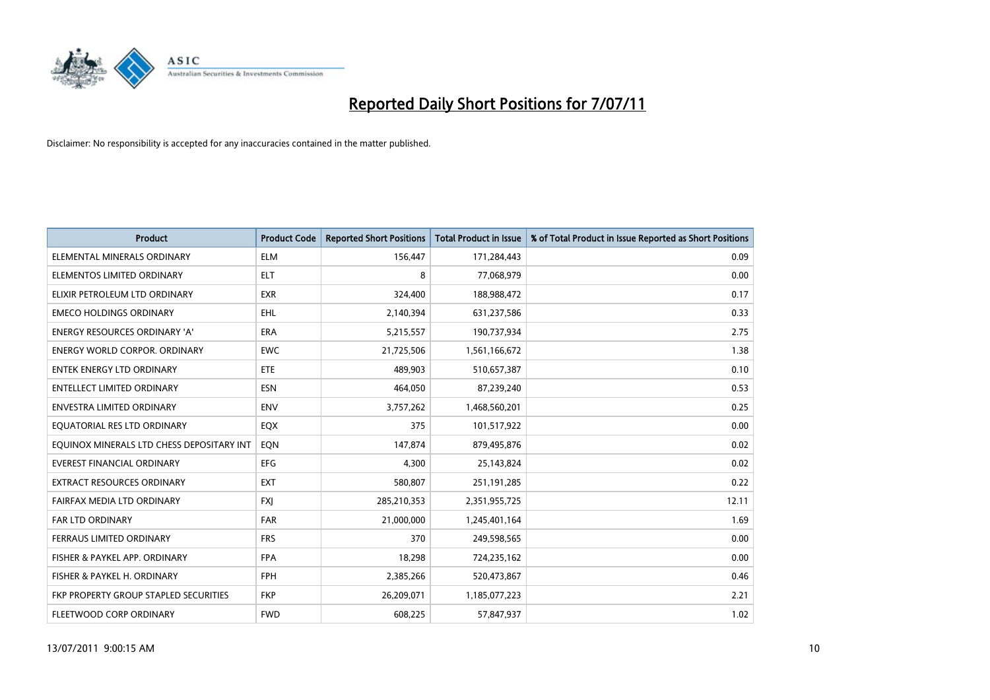

| <b>Product</b>                            | <b>Product Code</b> | <b>Reported Short Positions</b> | <b>Total Product in Issue</b> | % of Total Product in Issue Reported as Short Positions |
|-------------------------------------------|---------------------|---------------------------------|-------------------------------|---------------------------------------------------------|
| ELEMENTAL MINERALS ORDINARY               | <b>ELM</b>          | 156,447                         | 171,284,443                   | 0.09                                                    |
| ELEMENTOS LIMITED ORDINARY                | <b>ELT</b>          | 8                               | 77,068,979                    | 0.00                                                    |
| ELIXIR PETROLEUM LTD ORDINARY             | <b>EXR</b>          | 324,400                         | 188,988,472                   | 0.17                                                    |
| <b>EMECO HOLDINGS ORDINARY</b>            | EHL                 | 2,140,394                       | 631,237,586                   | 0.33                                                    |
| <b>ENERGY RESOURCES ORDINARY 'A'</b>      | ERA                 | 5,215,557                       | 190,737,934                   | 2.75                                                    |
| <b>ENERGY WORLD CORPOR, ORDINARY</b>      | <b>EWC</b>          | 21,725,506                      | 1,561,166,672                 | 1.38                                                    |
| <b>ENTEK ENERGY LTD ORDINARY</b>          | <b>ETE</b>          | 489.903                         | 510,657,387                   | 0.10                                                    |
| ENTELLECT LIMITED ORDINARY                | <b>ESN</b>          | 464,050                         | 87,239,240                    | 0.53                                                    |
| <b>ENVESTRA LIMITED ORDINARY</b>          | <b>ENV</b>          | 3,757,262                       | 1,468,560,201                 | 0.25                                                    |
| EQUATORIAL RES LTD ORDINARY               | EQX                 | 375                             | 101,517,922                   | 0.00                                                    |
| EQUINOX MINERALS LTD CHESS DEPOSITARY INT | EON                 | 147,874                         | 879,495,876                   | 0.02                                                    |
| <b>EVEREST FINANCIAL ORDINARY</b>         | <b>EFG</b>          | 4,300                           | 25,143,824                    | 0.02                                                    |
| EXTRACT RESOURCES ORDINARY                | <b>EXT</b>          | 580,807                         | 251,191,285                   | 0.22                                                    |
| FAIRFAX MEDIA LTD ORDINARY                | <b>FXI</b>          | 285,210,353                     | 2,351,955,725                 | 12.11                                                   |
| <b>FAR LTD ORDINARY</b>                   | <b>FAR</b>          | 21,000,000                      | 1,245,401,164                 | 1.69                                                    |
| FERRAUS LIMITED ORDINARY                  | <b>FRS</b>          | 370                             | 249,598,565                   | 0.00                                                    |
| FISHER & PAYKEL APP. ORDINARY             | <b>FPA</b>          | 18,298                          | 724,235,162                   | 0.00                                                    |
| FISHER & PAYKEL H. ORDINARY               | <b>FPH</b>          | 2,385,266                       | 520,473,867                   | 0.46                                                    |
| FKP PROPERTY GROUP STAPLED SECURITIES     | <b>FKP</b>          | 26,209,071                      | 1,185,077,223                 | 2.21                                                    |
| FLEETWOOD CORP ORDINARY                   | <b>FWD</b>          | 608,225                         | 57,847,937                    | 1.02                                                    |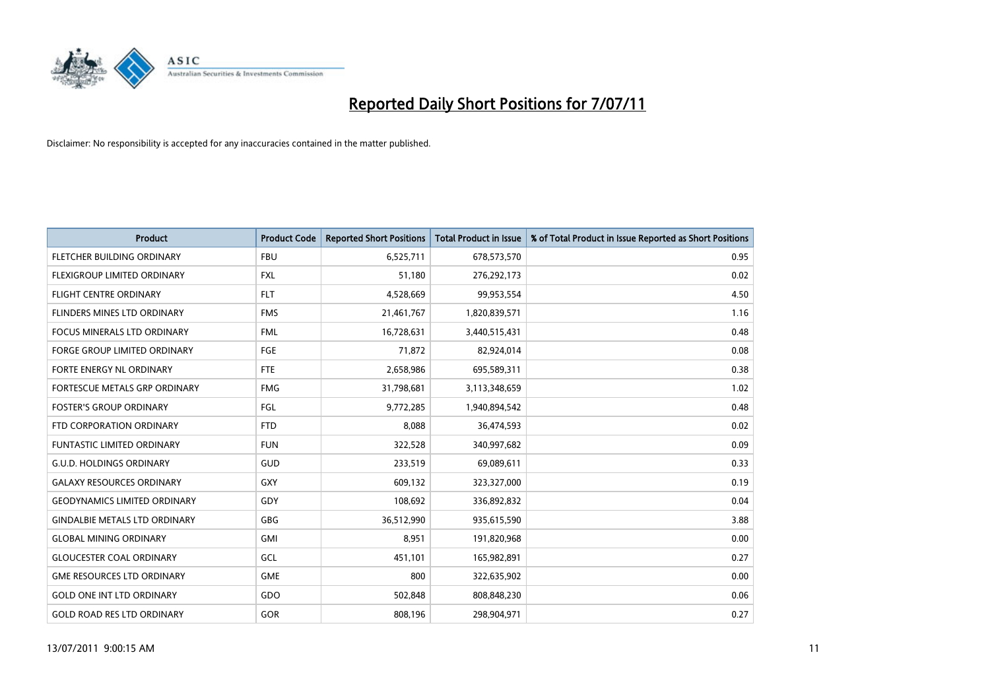

| <b>Product</b>                       | <b>Product Code</b> | <b>Reported Short Positions</b> | <b>Total Product in Issue</b> | % of Total Product in Issue Reported as Short Positions |
|--------------------------------------|---------------------|---------------------------------|-------------------------------|---------------------------------------------------------|
| FLETCHER BUILDING ORDINARY           | <b>FBU</b>          | 6,525,711                       | 678,573,570                   | 0.95                                                    |
| FLEXIGROUP LIMITED ORDINARY          | <b>FXL</b>          | 51,180                          | 276,292,173                   | 0.02                                                    |
| <b>FLIGHT CENTRE ORDINARY</b>        | <b>FLT</b>          | 4,528,669                       | 99,953,554                    | 4.50                                                    |
| FLINDERS MINES LTD ORDINARY          | <b>FMS</b>          | 21,461,767                      | 1,820,839,571                 | 1.16                                                    |
| <b>FOCUS MINERALS LTD ORDINARY</b>   | <b>FML</b>          | 16,728,631                      | 3,440,515,431                 | 0.48                                                    |
| <b>FORGE GROUP LIMITED ORDINARY</b>  | <b>FGE</b>          | 71,872                          | 82,924,014                    | 0.08                                                    |
| FORTE ENERGY NL ORDINARY             | <b>FTE</b>          | 2,658,986                       | 695,589,311                   | 0.38                                                    |
| FORTESCUE METALS GRP ORDINARY        | <b>FMG</b>          | 31,798,681                      | 3,113,348,659                 | 1.02                                                    |
| <b>FOSTER'S GROUP ORDINARY</b>       | FGL                 | 9,772,285                       | 1,940,894,542                 | 0.48                                                    |
| FTD CORPORATION ORDINARY             | <b>FTD</b>          | 8,088                           | 36,474,593                    | 0.02                                                    |
| <b>FUNTASTIC LIMITED ORDINARY</b>    | <b>FUN</b>          | 322,528                         | 340,997,682                   | 0.09                                                    |
| <b>G.U.D. HOLDINGS ORDINARY</b>      | <b>GUD</b>          | 233,519                         | 69,089,611                    | 0.33                                                    |
| <b>GALAXY RESOURCES ORDINARY</b>     | GXY                 | 609,132                         | 323,327,000                   | 0.19                                                    |
| <b>GEODYNAMICS LIMITED ORDINARY</b>  | GDY                 | 108,692                         | 336,892,832                   | 0.04                                                    |
| <b>GINDALBIE METALS LTD ORDINARY</b> | <b>GBG</b>          | 36,512,990                      | 935,615,590                   | 3.88                                                    |
| <b>GLOBAL MINING ORDINARY</b>        | <b>GMI</b>          | 8,951                           | 191,820,968                   | 0.00                                                    |
| <b>GLOUCESTER COAL ORDINARY</b>      | GCL                 | 451,101                         | 165,982,891                   | 0.27                                                    |
| <b>GME RESOURCES LTD ORDINARY</b>    | <b>GME</b>          | 800                             | 322,635,902                   | 0.00                                                    |
| <b>GOLD ONE INT LTD ORDINARY</b>     | GDO                 | 502,848                         | 808,848,230                   | 0.06                                                    |
| <b>GOLD ROAD RES LTD ORDINARY</b>    | <b>GOR</b>          | 808.196                         | 298.904.971                   | 0.27                                                    |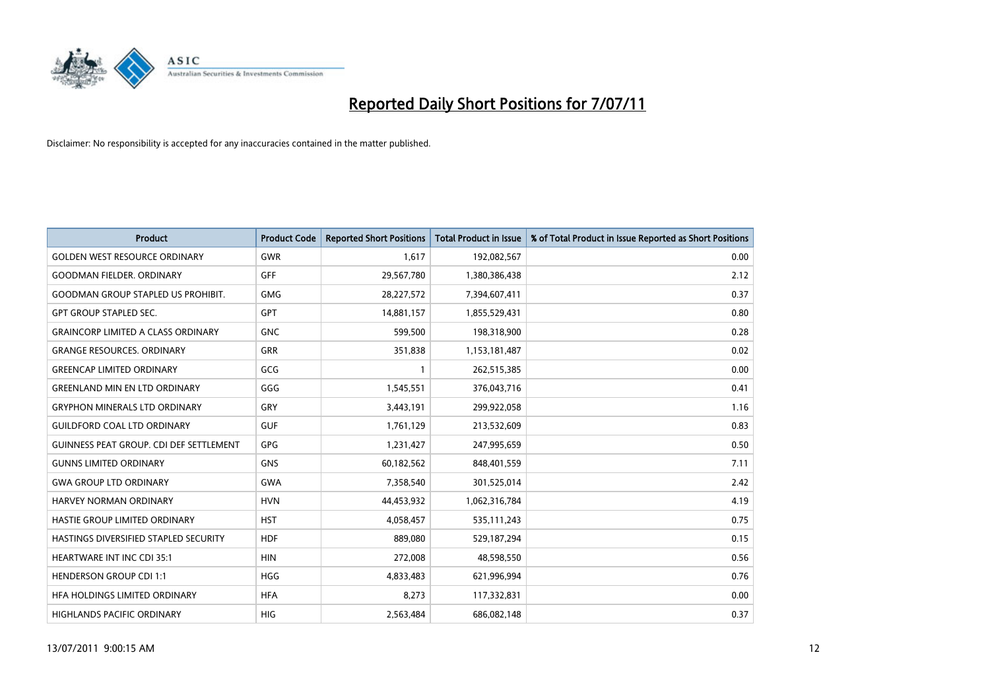

| <b>Product</b>                                 | <b>Product Code</b> | <b>Reported Short Positions</b> | <b>Total Product in Issue</b> | % of Total Product in Issue Reported as Short Positions |
|------------------------------------------------|---------------------|---------------------------------|-------------------------------|---------------------------------------------------------|
| <b>GOLDEN WEST RESOURCE ORDINARY</b>           | <b>GWR</b>          | 1.617                           | 192,082,567                   | 0.00                                                    |
| <b>GOODMAN FIELDER, ORDINARY</b>               | <b>GFF</b>          | 29,567,780                      | 1,380,386,438                 | 2.12                                                    |
| <b>GOODMAN GROUP STAPLED US PROHIBIT.</b>      | <b>GMG</b>          | 28,227,572                      | 7,394,607,411                 | 0.37                                                    |
| <b>GPT GROUP STAPLED SEC.</b>                  | <b>GPT</b>          | 14,881,157                      | 1,855,529,431                 | 0.80                                                    |
| <b>GRAINCORP LIMITED A CLASS ORDINARY</b>      | <b>GNC</b>          | 599,500                         | 198,318,900                   | 0.28                                                    |
| <b>GRANGE RESOURCES. ORDINARY</b>              | GRR                 | 351,838                         | 1,153,181,487                 | 0.02                                                    |
| <b>GREENCAP LIMITED ORDINARY</b>               | GCG                 |                                 | 262,515,385                   | 0.00                                                    |
| <b>GREENLAND MIN EN LTD ORDINARY</b>           | GGG                 | 1,545,551                       | 376,043,716                   | 0.41                                                    |
| <b>GRYPHON MINERALS LTD ORDINARY</b>           | <b>GRY</b>          | 3,443,191                       | 299,922,058                   | 1.16                                                    |
| <b>GUILDFORD COAL LTD ORDINARY</b>             | <b>GUF</b>          | 1,761,129                       | 213,532,609                   | 0.83                                                    |
| <b>GUINNESS PEAT GROUP. CDI DEF SETTLEMENT</b> | <b>GPG</b>          | 1,231,427                       | 247,995,659                   | 0.50                                                    |
| <b>GUNNS LIMITED ORDINARY</b>                  | <b>GNS</b>          | 60,182,562                      | 848,401,559                   | 7.11                                                    |
| <b>GWA GROUP LTD ORDINARY</b>                  | <b>GWA</b>          | 7,358,540                       | 301,525,014                   | 2.42                                                    |
| HARVEY NORMAN ORDINARY                         | <b>HVN</b>          | 44,453,932                      | 1,062,316,784                 | 4.19                                                    |
| HASTIE GROUP LIMITED ORDINARY                  | <b>HST</b>          | 4,058,457                       | 535,111,243                   | 0.75                                                    |
| HASTINGS DIVERSIFIED STAPLED SECURITY          | <b>HDF</b>          | 889,080                         | 529,187,294                   | 0.15                                                    |
| HEARTWARE INT INC CDI 35:1                     | <b>HIN</b>          | 272,008                         | 48,598,550                    | 0.56                                                    |
| <b>HENDERSON GROUP CDI 1:1</b>                 | <b>HGG</b>          | 4,833,483                       | 621,996,994                   | 0.76                                                    |
| HFA HOLDINGS LIMITED ORDINARY                  | <b>HFA</b>          | 8,273                           | 117,332,831                   | 0.00                                                    |
| <b>HIGHLANDS PACIFIC ORDINARY</b>              | <b>HIG</b>          | 2,563,484                       | 686,082,148                   | 0.37                                                    |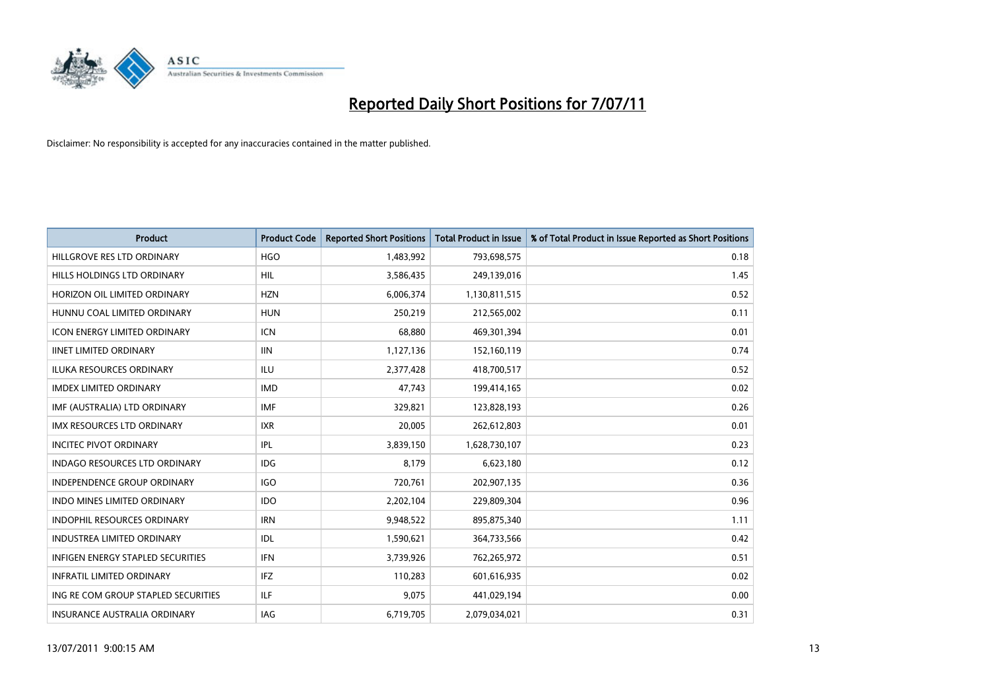

| <b>Product</b>                           | <b>Product Code</b> | <b>Reported Short Positions</b> | <b>Total Product in Issue</b> | % of Total Product in Issue Reported as Short Positions |
|------------------------------------------|---------------------|---------------------------------|-------------------------------|---------------------------------------------------------|
| HILLGROVE RES LTD ORDINARY               | <b>HGO</b>          | 1,483,992                       | 793,698,575                   | 0.18                                                    |
| HILLS HOLDINGS LTD ORDINARY              | <b>HIL</b>          | 3,586,435                       | 249,139,016                   | 1.45                                                    |
| HORIZON OIL LIMITED ORDINARY             | <b>HZN</b>          | 6,006,374                       | 1,130,811,515                 | 0.52                                                    |
| HUNNU COAL LIMITED ORDINARY              | <b>HUN</b>          | 250,219                         | 212,565,002                   | 0.11                                                    |
| <b>ICON ENERGY LIMITED ORDINARY</b>      | <b>ICN</b>          | 68.880                          | 469,301,394                   | 0.01                                                    |
| <b>IINET LIMITED ORDINARY</b>            | <b>IIN</b>          | 1,127,136                       | 152,160,119                   | 0.74                                                    |
| <b>ILUKA RESOURCES ORDINARY</b>          | <b>ILU</b>          | 2,377,428                       | 418,700,517                   | 0.52                                                    |
| <b>IMDEX LIMITED ORDINARY</b>            | <b>IMD</b>          | 47,743                          | 199,414,165                   | 0.02                                                    |
| IMF (AUSTRALIA) LTD ORDINARY             | <b>IMF</b>          | 329,821                         | 123,828,193                   | 0.26                                                    |
| <b>IMX RESOURCES LTD ORDINARY</b>        | <b>IXR</b>          | 20,005                          | 262,612,803                   | 0.01                                                    |
| <b>INCITEC PIVOT ORDINARY</b>            | IPL                 | 3,839,150                       | 1,628,730,107                 | 0.23                                                    |
| <b>INDAGO RESOURCES LTD ORDINARY</b>     | <b>IDG</b>          | 8,179                           | 6,623,180                     | 0.12                                                    |
| <b>INDEPENDENCE GROUP ORDINARY</b>       | <b>IGO</b>          | 720,761                         | 202,907,135                   | 0.36                                                    |
| <b>INDO MINES LIMITED ORDINARY</b>       | <b>IDO</b>          | 2,202,104                       | 229,809,304                   | 0.96                                                    |
| INDOPHIL RESOURCES ORDINARY              | <b>IRN</b>          | 9,948,522                       | 895,875,340                   | 1.11                                                    |
| <b>INDUSTREA LIMITED ORDINARY</b>        | IDL                 | 1,590,621                       | 364,733,566                   | 0.42                                                    |
| <b>INFIGEN ENERGY STAPLED SECURITIES</b> | <b>IFN</b>          | 3,739,926                       | 762,265,972                   | 0.51                                                    |
| <b>INFRATIL LIMITED ORDINARY</b>         | IFZ                 | 110,283                         | 601,616,935                   | 0.02                                                    |
| ING RE COM GROUP STAPLED SECURITIES      | <b>ILF</b>          | 9,075                           | 441,029,194                   | 0.00                                                    |
| <b>INSURANCE AUSTRALIA ORDINARY</b>      | <b>IAG</b>          | 6,719,705                       | 2.079.034.021                 | 0.31                                                    |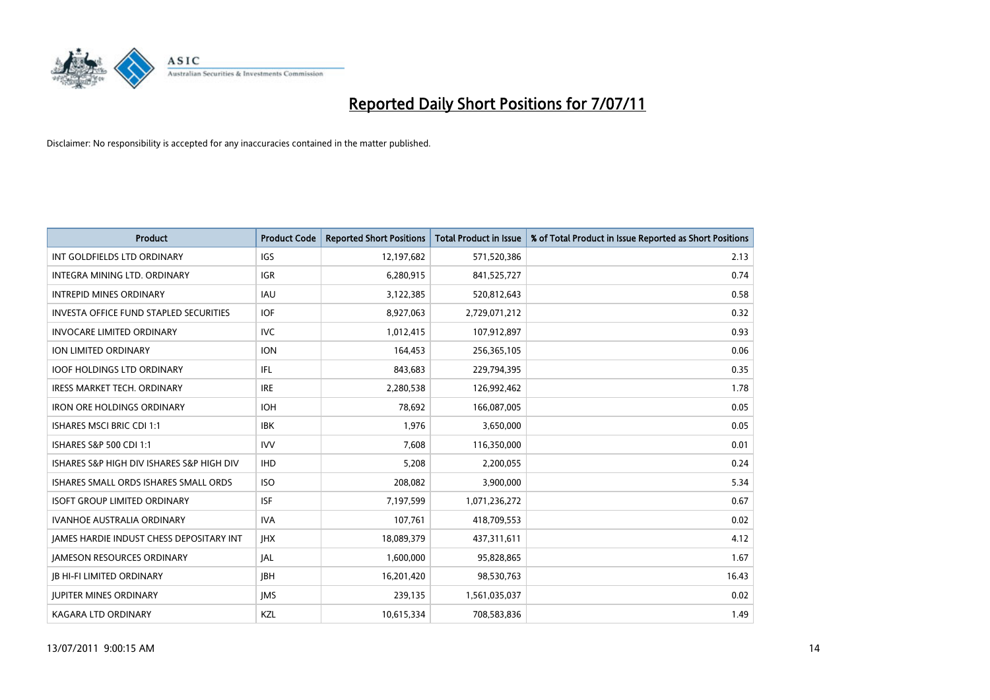

| <b>Product</b>                                  | <b>Product Code</b> | <b>Reported Short Positions</b> | Total Product in Issue | % of Total Product in Issue Reported as Short Positions |
|-------------------------------------------------|---------------------|---------------------------------|------------------------|---------------------------------------------------------|
| INT GOLDFIELDS LTD ORDINARY                     | <b>IGS</b>          | 12,197,682                      | 571,520,386            | 2.13                                                    |
| INTEGRA MINING LTD. ORDINARY                    | <b>IGR</b>          | 6,280,915                       | 841,525,727            | 0.74                                                    |
| <b>INTREPID MINES ORDINARY</b>                  | <b>IAU</b>          | 3,122,385                       | 520,812,643            | 0.58                                                    |
| INVESTA OFFICE FUND STAPLED SECURITIES          | <b>IOF</b>          | 8,927,063                       | 2,729,071,212          | 0.32                                                    |
| <b>INVOCARE LIMITED ORDINARY</b>                | <b>IVC</b>          | 1,012,415                       | 107,912,897            | 0.93                                                    |
| ION LIMITED ORDINARY                            | <b>ION</b>          | 164,453                         | 256,365,105            | 0.06                                                    |
| <b>IOOF HOLDINGS LTD ORDINARY</b>               | IFL.                | 843,683                         | 229,794,395            | 0.35                                                    |
| <b>IRESS MARKET TECH. ORDINARY</b>              | <b>IRE</b>          | 2,280,538                       | 126,992,462            | 1.78                                                    |
| <b>IRON ORE HOLDINGS ORDINARY</b>               | <b>IOH</b>          | 78,692                          | 166,087,005            | 0.05                                                    |
| <b>ISHARES MSCI BRIC CDI 1:1</b>                | <b>IBK</b>          | 1,976                           | 3,650,000              | 0.05                                                    |
| <b>ISHARES S&amp;P 500 CDI 1:1</b>              | <b>IVV</b>          | 7,608                           | 116,350,000            | 0.01                                                    |
| ISHARES S&P HIGH DIV ISHARES S&P HIGH DIV       | <b>IHD</b>          | 5,208                           | 2,200,055              | 0.24                                                    |
| ISHARES SMALL ORDS ISHARES SMALL ORDS           | <b>ISO</b>          | 208,082                         | 3,900,000              | 5.34                                                    |
| <b>ISOFT GROUP LIMITED ORDINARY</b>             | <b>ISF</b>          | 7,197,599                       | 1,071,236,272          | 0.67                                                    |
| <b>IVANHOE AUSTRALIA ORDINARY</b>               | <b>IVA</b>          | 107,761                         | 418,709,553            | 0.02                                                    |
| <b>JAMES HARDIE INDUST CHESS DEPOSITARY INT</b> | <b>IHX</b>          | 18,089,379                      | 437,311,611            | 4.12                                                    |
| <b>JAMESON RESOURCES ORDINARY</b>               | <b>JAL</b>          | 1,600,000                       | 95,828,865             | 1.67                                                    |
| <b>JB HI-FI LIMITED ORDINARY</b>                | <b>IBH</b>          | 16,201,420                      | 98,530,763             | 16.43                                                   |
| <b>IUPITER MINES ORDINARY</b>                   | <b>IMS</b>          | 239,135                         | 1,561,035,037          | 0.02                                                    |
| <b>KAGARA LTD ORDINARY</b>                      | KZL                 | 10,615,334                      | 708,583,836            | 1.49                                                    |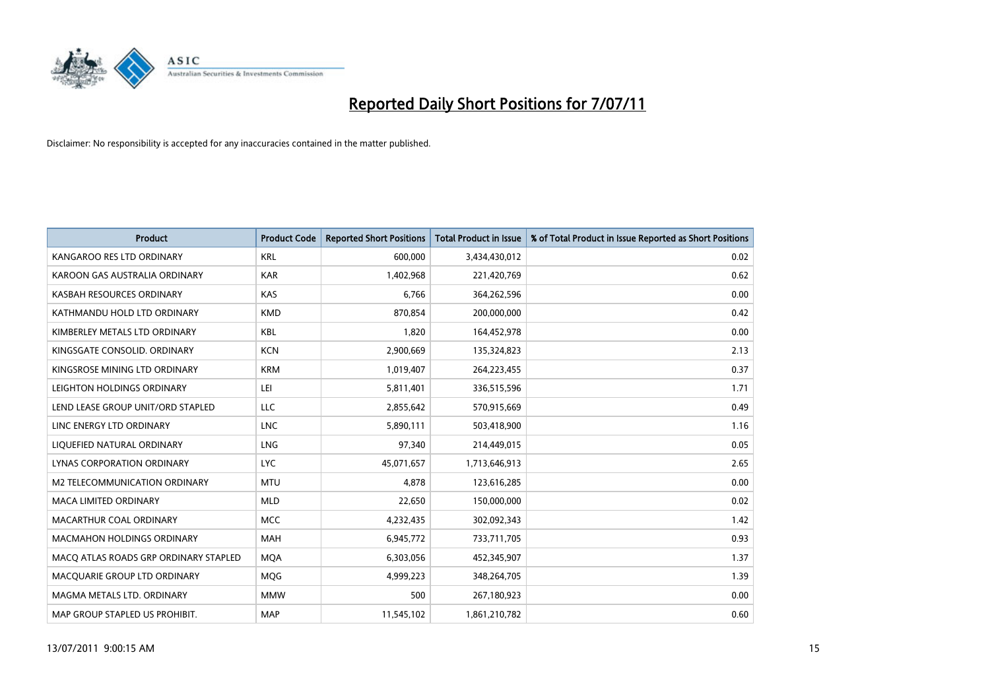

| <b>Product</b>                        | <b>Product Code</b> | <b>Reported Short Positions</b> | <b>Total Product in Issue</b> | % of Total Product in Issue Reported as Short Positions |
|---------------------------------------|---------------------|---------------------------------|-------------------------------|---------------------------------------------------------|
| KANGAROO RES LTD ORDINARY             | <b>KRL</b>          | 600,000                         | 3,434,430,012                 | 0.02                                                    |
| KAROON GAS AUSTRALIA ORDINARY         | <b>KAR</b>          | 1,402,968                       | 221,420,769                   | 0.62                                                    |
| KASBAH RESOURCES ORDINARY             | <b>KAS</b>          | 6,766                           | 364,262,596                   | 0.00                                                    |
| KATHMANDU HOLD LTD ORDINARY           | <b>KMD</b>          | 870,854                         | 200,000,000                   | 0.42                                                    |
| KIMBERLEY METALS LTD ORDINARY         | <b>KBL</b>          | 1,820                           | 164,452,978                   | 0.00                                                    |
| KINGSGATE CONSOLID, ORDINARY          | <b>KCN</b>          | 2,900,669                       | 135,324,823                   | 2.13                                                    |
| KINGSROSE MINING LTD ORDINARY         | <b>KRM</b>          | 1,019,407                       | 264,223,455                   | 0.37                                                    |
| LEIGHTON HOLDINGS ORDINARY            | LEI                 | 5,811,401                       | 336,515,596                   | 1.71                                                    |
| LEND LEASE GROUP UNIT/ORD STAPLED     | LLC                 | 2,855,642                       | 570,915,669                   | 0.49                                                    |
| LINC ENERGY LTD ORDINARY              | <b>LNC</b>          | 5,890,111                       | 503,418,900                   | 1.16                                                    |
| LIQUEFIED NATURAL ORDINARY            | LNG                 | 97,340                          | 214,449,015                   | 0.05                                                    |
| LYNAS CORPORATION ORDINARY            | <b>LYC</b>          | 45,071,657                      | 1,713,646,913                 | 2.65                                                    |
| M2 TELECOMMUNICATION ORDINARY         | <b>MTU</b>          | 4.878                           | 123,616,285                   | 0.00                                                    |
| <b>MACA LIMITED ORDINARY</b>          | <b>MLD</b>          | 22,650                          | 150,000,000                   | 0.02                                                    |
| MACARTHUR COAL ORDINARY               | <b>MCC</b>          | 4,232,435                       | 302,092,343                   | 1.42                                                    |
| <b>MACMAHON HOLDINGS ORDINARY</b>     | <b>MAH</b>          | 6,945,772                       | 733,711,705                   | 0.93                                                    |
| MACO ATLAS ROADS GRP ORDINARY STAPLED | <b>MQA</b>          | 6,303,056                       | 452,345,907                   | 1.37                                                    |
| MACQUARIE GROUP LTD ORDINARY          | MQG                 | 4,999,223                       | 348,264,705                   | 1.39                                                    |
| MAGMA METALS LTD. ORDINARY            | <b>MMW</b>          | 500                             | 267,180,923                   | 0.00                                                    |
| MAP GROUP STAPLED US PROHIBIT.        | <b>MAP</b>          | 11,545,102                      | 1,861,210,782                 | 0.60                                                    |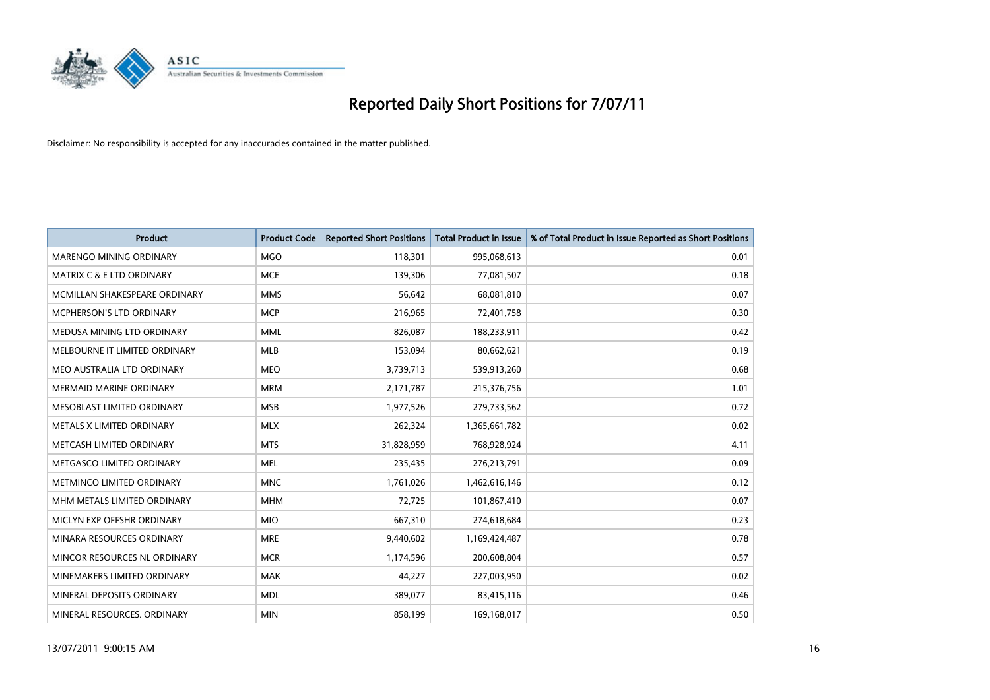

| <b>Product</b>                 | <b>Product Code</b> | <b>Reported Short Positions</b> | <b>Total Product in Issue</b> | % of Total Product in Issue Reported as Short Positions |
|--------------------------------|---------------------|---------------------------------|-------------------------------|---------------------------------------------------------|
| <b>MARENGO MINING ORDINARY</b> | <b>MGO</b>          | 118,301                         | 995,068,613                   | 0.01                                                    |
| MATRIX C & E LTD ORDINARY      | <b>MCE</b>          | 139,306                         | 77,081,507                    | 0.18                                                    |
| MCMILLAN SHAKESPEARE ORDINARY  | <b>MMS</b>          | 56,642                          | 68,081,810                    | 0.07                                                    |
| MCPHERSON'S LTD ORDINARY       | <b>MCP</b>          | 216,965                         | 72,401,758                    | 0.30                                                    |
| MEDUSA MINING LTD ORDINARY     | <b>MML</b>          | 826,087                         | 188,233,911                   | 0.42                                                    |
| MELBOURNE IT LIMITED ORDINARY  | MLB                 | 153,094                         | 80,662,621                    | 0.19                                                    |
| MEO AUSTRALIA LTD ORDINARY     | <b>MEO</b>          | 3,739,713                       | 539,913,260                   | 0.68                                                    |
| <b>MERMAID MARINE ORDINARY</b> | <b>MRM</b>          | 2,171,787                       | 215,376,756                   | 1.01                                                    |
| MESOBLAST LIMITED ORDINARY     | <b>MSB</b>          | 1,977,526                       | 279,733,562                   | 0.72                                                    |
| METALS X LIMITED ORDINARY      | <b>MLX</b>          | 262,324                         | 1,365,661,782                 | 0.02                                                    |
| METCASH LIMITED ORDINARY       | <b>MTS</b>          | 31,828,959                      | 768,928,924                   | 4.11                                                    |
| METGASCO LIMITED ORDINARY      | <b>MEL</b>          | 235,435                         | 276,213,791                   | 0.09                                                    |
| METMINCO LIMITED ORDINARY      | <b>MNC</b>          | 1,761,026                       | 1,462,616,146                 | 0.12                                                    |
| MHM METALS LIMITED ORDINARY    | <b>MHM</b>          | 72,725                          | 101,867,410                   | 0.07                                                    |
| MICLYN EXP OFFSHR ORDINARY     | <b>MIO</b>          | 667,310                         | 274,618,684                   | 0.23                                                    |
| MINARA RESOURCES ORDINARY      | <b>MRE</b>          | 9,440,602                       | 1,169,424,487                 | 0.78                                                    |
| MINCOR RESOURCES NL ORDINARY   | <b>MCR</b>          | 1,174,596                       | 200,608,804                   | 0.57                                                    |
| MINEMAKERS LIMITED ORDINARY    | <b>MAK</b>          | 44,227                          | 227,003,950                   | 0.02                                                    |
| MINERAL DEPOSITS ORDINARY      | <b>MDL</b>          | 389,077                         | 83,415,116                    | 0.46                                                    |
| MINERAL RESOURCES, ORDINARY    | <b>MIN</b>          | 858,199                         | 169,168,017                   | 0.50                                                    |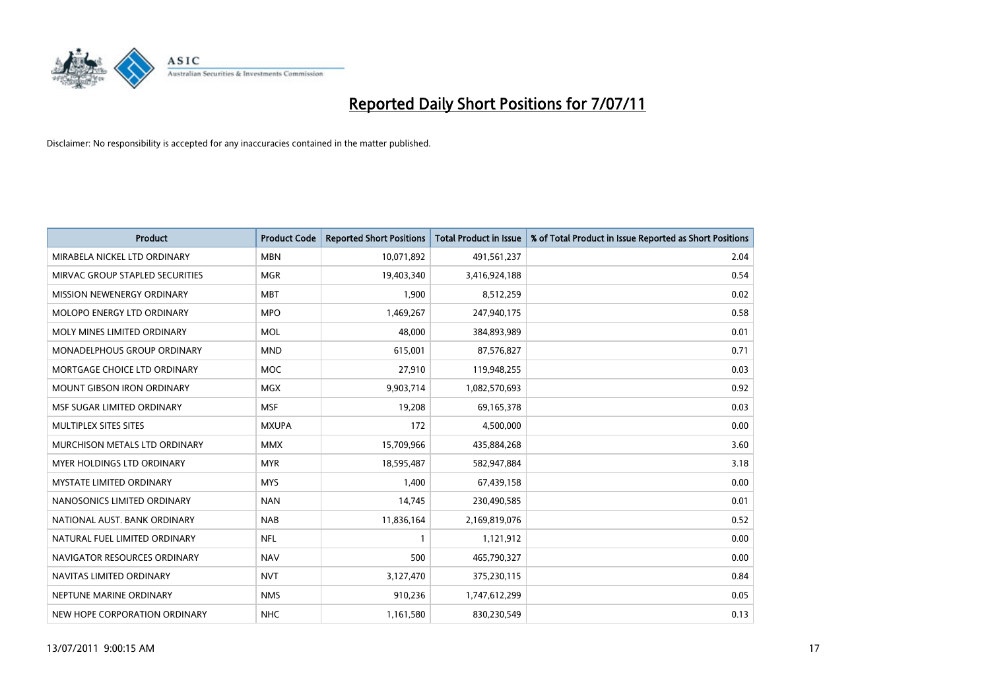

| <b>Product</b>                    | <b>Product Code</b> | <b>Reported Short Positions</b> | <b>Total Product in Issue</b> | % of Total Product in Issue Reported as Short Positions |
|-----------------------------------|---------------------|---------------------------------|-------------------------------|---------------------------------------------------------|
| MIRABELA NICKEL LTD ORDINARY      | <b>MBN</b>          | 10,071,892                      | 491,561,237                   | 2.04                                                    |
| MIRVAC GROUP STAPLED SECURITIES   | <b>MGR</b>          | 19,403,340                      | 3,416,924,188                 | 0.54                                                    |
| <b>MISSION NEWENERGY ORDINARY</b> | <b>MBT</b>          | 1,900                           | 8,512,259                     | 0.02                                                    |
| <b>MOLOPO ENERGY LTD ORDINARY</b> | <b>MPO</b>          | 1,469,267                       | 247,940,175                   | 0.58                                                    |
| MOLY MINES LIMITED ORDINARY       | <b>MOL</b>          | 48.000                          | 384,893,989                   | 0.01                                                    |
| MONADELPHOUS GROUP ORDINARY       | <b>MND</b>          | 615,001                         | 87,576,827                    | 0.71                                                    |
| MORTGAGE CHOICE LTD ORDINARY      | <b>MOC</b>          | 27,910                          | 119,948,255                   | 0.03                                                    |
| <b>MOUNT GIBSON IRON ORDINARY</b> | <b>MGX</b>          | 9,903,714                       | 1,082,570,693                 | 0.92                                                    |
| MSF SUGAR LIMITED ORDINARY        | <b>MSF</b>          | 19,208                          | 69,165,378                    | 0.03                                                    |
| MULTIPLEX SITES SITES             | <b>MXUPA</b>        | 172                             | 4,500,000                     | 0.00                                                    |
| MURCHISON METALS LTD ORDINARY     | <b>MMX</b>          | 15,709,966                      | 435,884,268                   | 3.60                                                    |
| <b>MYER HOLDINGS LTD ORDINARY</b> | <b>MYR</b>          | 18,595,487                      | 582,947,884                   | 3.18                                                    |
| <b>MYSTATE LIMITED ORDINARY</b>   | <b>MYS</b>          | 1.400                           | 67,439,158                    | 0.00                                                    |
| NANOSONICS LIMITED ORDINARY       | <b>NAN</b>          | 14.745                          | 230,490,585                   | 0.01                                                    |
| NATIONAL AUST. BANK ORDINARY      | <b>NAB</b>          | 11,836,164                      | 2,169,819,076                 | 0.52                                                    |
| NATURAL FUEL LIMITED ORDINARY     | <b>NFL</b>          |                                 | 1,121,912                     | 0.00                                                    |
| NAVIGATOR RESOURCES ORDINARY      | <b>NAV</b>          | 500                             | 465,790,327                   | 0.00                                                    |
| NAVITAS LIMITED ORDINARY          | <b>NVT</b>          | 3,127,470                       | 375,230,115                   | 0.84                                                    |
| NEPTUNE MARINE ORDINARY           | <b>NMS</b>          | 910,236                         | 1,747,612,299                 | 0.05                                                    |
| NEW HOPE CORPORATION ORDINARY     | <b>NHC</b>          | 1,161,580                       | 830,230,549                   | 0.13                                                    |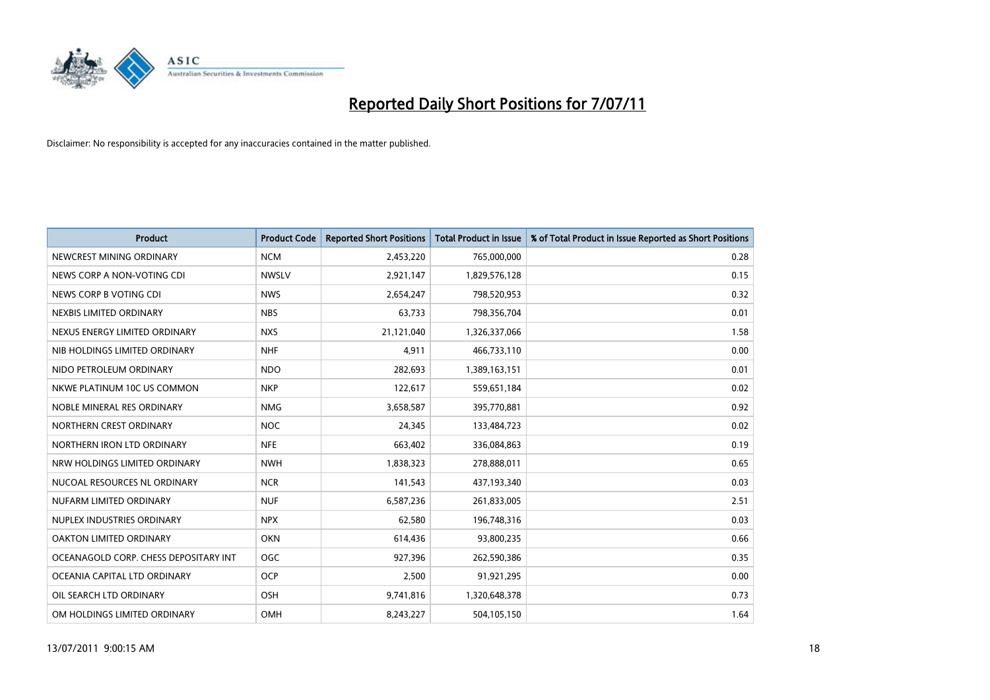

| <b>Product</b>                        | <b>Product Code</b> | <b>Reported Short Positions</b> | Total Product in Issue | % of Total Product in Issue Reported as Short Positions |
|---------------------------------------|---------------------|---------------------------------|------------------------|---------------------------------------------------------|
| NEWCREST MINING ORDINARY              | <b>NCM</b>          | 2,453,220                       | 765,000,000            | 0.28                                                    |
| NEWS CORP A NON-VOTING CDI            | <b>NWSLV</b>        | 2,921,147                       | 1,829,576,128          | 0.15                                                    |
| NEWS CORP B VOTING CDI                | <b>NWS</b>          | 2,654,247                       | 798,520,953            | 0.32                                                    |
| NEXBIS LIMITED ORDINARY               | <b>NBS</b>          | 63,733                          | 798,356,704            | 0.01                                                    |
| NEXUS ENERGY LIMITED ORDINARY         | <b>NXS</b>          | 21,121,040                      | 1,326,337,066          | 1.58                                                    |
| NIB HOLDINGS LIMITED ORDINARY         | <b>NHF</b>          | 4,911                           | 466,733,110            | 0.00                                                    |
| NIDO PETROLEUM ORDINARY               | <b>NDO</b>          | 282,693                         | 1,389,163,151          | 0.01                                                    |
| NKWE PLATINUM 10C US COMMON           | <b>NKP</b>          | 122,617                         | 559,651,184            | 0.02                                                    |
| NOBLE MINERAL RES ORDINARY            | <b>NMG</b>          | 3,658,587                       | 395,770,881            | 0.92                                                    |
| NORTHERN CREST ORDINARY               | <b>NOC</b>          | 24,345                          | 133,484,723            | 0.02                                                    |
| NORTHERN IRON LTD ORDINARY            | <b>NFE</b>          | 663,402                         | 336,084,863            | 0.19                                                    |
| NRW HOLDINGS LIMITED ORDINARY         | <b>NWH</b>          | 1,838,323                       | 278,888,011            | 0.65                                                    |
| NUCOAL RESOURCES NL ORDINARY          | <b>NCR</b>          | 141,543                         | 437,193,340            | 0.03                                                    |
| NUFARM LIMITED ORDINARY               | <b>NUF</b>          | 6,587,236                       | 261,833,005            | 2.51                                                    |
| NUPLEX INDUSTRIES ORDINARY            | <b>NPX</b>          | 62,580                          | 196,748,316            | 0.03                                                    |
| OAKTON LIMITED ORDINARY               | <b>OKN</b>          | 614,436                         | 93,800,235             | 0.66                                                    |
| OCEANAGOLD CORP. CHESS DEPOSITARY INT | <b>OGC</b>          | 927,396                         | 262,590,386            | 0.35                                                    |
| OCEANIA CAPITAL LTD ORDINARY          | <b>OCP</b>          | 2,500                           | 91,921,295             | 0.00                                                    |
| OIL SEARCH LTD ORDINARY               | OSH                 | 9,741,816                       | 1,320,648,378          | 0.73                                                    |
| OM HOLDINGS LIMITED ORDINARY          | OMH                 | 8,243,227                       | 504,105,150            | 1.64                                                    |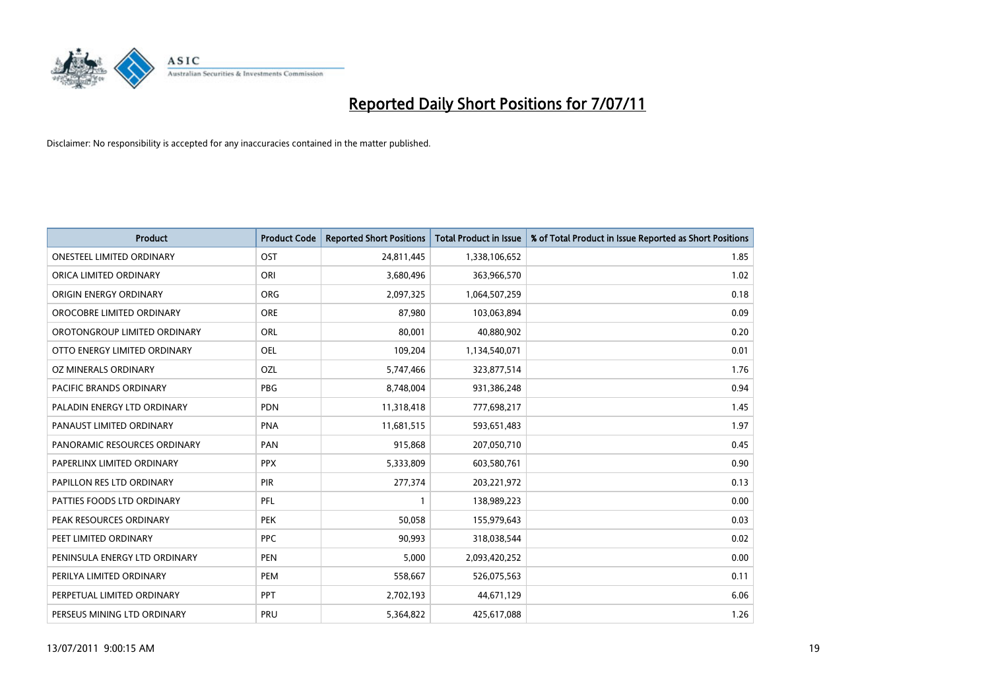

| <b>Product</b>                   | <b>Product Code</b> | <b>Reported Short Positions</b> | <b>Total Product in Issue</b> | % of Total Product in Issue Reported as Short Positions |
|----------------------------------|---------------------|---------------------------------|-------------------------------|---------------------------------------------------------|
| <b>ONESTEEL LIMITED ORDINARY</b> | OST                 | 24,811,445                      | 1,338,106,652                 | 1.85                                                    |
| ORICA LIMITED ORDINARY           | ORI                 | 3,680,496                       | 363,966,570                   | 1.02                                                    |
| ORIGIN ENERGY ORDINARY           | ORG                 | 2,097,325                       | 1,064,507,259                 | 0.18                                                    |
| OROCOBRE LIMITED ORDINARY        | <b>ORE</b>          | 87,980                          | 103,063,894                   | 0.09                                                    |
| OROTONGROUP LIMITED ORDINARY     | <b>ORL</b>          | 80,001                          | 40,880,902                    | 0.20                                                    |
| OTTO ENERGY LIMITED ORDINARY     | OEL                 | 109,204                         | 1,134,540,071                 | 0.01                                                    |
| OZ MINERALS ORDINARY             | OZL                 | 5,747,466                       | 323,877,514                   | 1.76                                                    |
| PACIFIC BRANDS ORDINARY          | <b>PBG</b>          | 8,748,004                       | 931,386,248                   | 0.94                                                    |
| PALADIN ENERGY LTD ORDINARY      | <b>PDN</b>          | 11,318,418                      | 777,698,217                   | 1.45                                                    |
| PANAUST LIMITED ORDINARY         | <b>PNA</b>          | 11,681,515                      | 593,651,483                   | 1.97                                                    |
| PANORAMIC RESOURCES ORDINARY     | PAN                 | 915,868                         | 207,050,710                   | 0.45                                                    |
| PAPERLINX LIMITED ORDINARY       | <b>PPX</b>          | 5,333,809                       | 603,580,761                   | 0.90                                                    |
| PAPILLON RES LTD ORDINARY        | PIR                 | 277,374                         | 203,221,972                   | 0.13                                                    |
| PATTIES FOODS LTD ORDINARY       | PFL                 |                                 | 138,989,223                   | 0.00                                                    |
| PEAK RESOURCES ORDINARY          | <b>PEK</b>          | 50,058                          | 155,979,643                   | 0.03                                                    |
| PEET LIMITED ORDINARY            | <b>PPC</b>          | 90,993                          | 318,038,544                   | 0.02                                                    |
| PENINSULA ENERGY LTD ORDINARY    | <b>PEN</b>          | 5,000                           | 2,093,420,252                 | 0.00                                                    |
| PERILYA LIMITED ORDINARY         | PEM                 | 558,667                         | 526,075,563                   | 0.11                                                    |
| PERPETUAL LIMITED ORDINARY       | <b>PPT</b>          | 2,702,193                       | 44,671,129                    | 6.06                                                    |
| PERSEUS MINING LTD ORDINARY      | PRU                 | 5,364,822                       | 425,617,088                   | 1.26                                                    |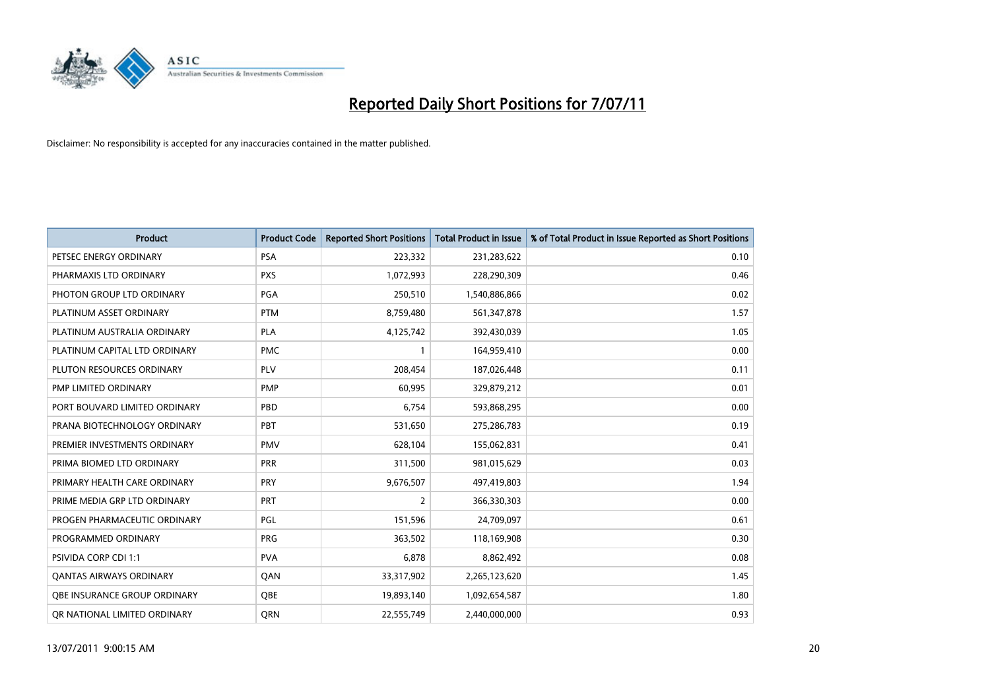

| <b>Product</b>                 | <b>Product Code</b> | <b>Reported Short Positions</b> | <b>Total Product in Issue</b> | % of Total Product in Issue Reported as Short Positions |
|--------------------------------|---------------------|---------------------------------|-------------------------------|---------------------------------------------------------|
| PETSEC ENERGY ORDINARY         | <b>PSA</b>          | 223,332                         | 231,283,622                   | 0.10                                                    |
| PHARMAXIS LTD ORDINARY         | <b>PXS</b>          | 1,072,993                       | 228,290,309                   | 0.46                                                    |
| PHOTON GROUP LTD ORDINARY      | PGA                 | 250,510                         | 1,540,886,866                 | 0.02                                                    |
| PLATINUM ASSET ORDINARY        | <b>PTM</b>          | 8,759,480                       | 561,347,878                   | 1.57                                                    |
| PLATINUM AUSTRALIA ORDINARY    | <b>PLA</b>          | 4,125,742                       | 392,430,039                   | 1.05                                                    |
| PLATINUM CAPITAL LTD ORDINARY  | <b>PMC</b>          |                                 | 164,959,410                   | 0.00                                                    |
| PLUTON RESOURCES ORDINARY      | <b>PLV</b>          | 208.454                         | 187,026,448                   | 0.11                                                    |
| <b>PMP LIMITED ORDINARY</b>    | <b>PMP</b>          | 60,995                          | 329,879,212                   | 0.01                                                    |
| PORT BOUVARD LIMITED ORDINARY  | PBD                 | 6,754                           | 593,868,295                   | 0.00                                                    |
| PRANA BIOTECHNOLOGY ORDINARY   | PBT                 | 531,650                         | 275,286,783                   | 0.19                                                    |
| PREMIER INVESTMENTS ORDINARY   | <b>PMV</b>          | 628,104                         | 155,062,831                   | 0.41                                                    |
| PRIMA BIOMED LTD ORDINARY      | PRR                 | 311,500                         | 981,015,629                   | 0.03                                                    |
| PRIMARY HEALTH CARE ORDINARY   | <b>PRY</b>          | 9,676,507                       | 497,419,803                   | 1.94                                                    |
| PRIME MEDIA GRP LTD ORDINARY   | PRT                 | $\overline{2}$                  | 366,330,303                   | 0.00                                                    |
| PROGEN PHARMACEUTIC ORDINARY   | <b>PGL</b>          | 151,596                         | 24,709,097                    | 0.61                                                    |
| PROGRAMMED ORDINARY            | PRG                 | 363,502                         | 118,169,908                   | 0.30                                                    |
| <b>PSIVIDA CORP CDI 1:1</b>    | <b>PVA</b>          | 6,878                           | 8,862,492                     | 0.08                                                    |
| <b>QANTAS AIRWAYS ORDINARY</b> | QAN                 | 33,317,902                      | 2,265,123,620                 | 1.45                                                    |
| OBE INSURANCE GROUP ORDINARY   | <b>OBE</b>          | 19,893,140                      | 1.092,654,587                 | 1.80                                                    |
| OR NATIONAL LIMITED ORDINARY   | <b>ORN</b>          | 22,555,749                      | 2,440,000,000                 | 0.93                                                    |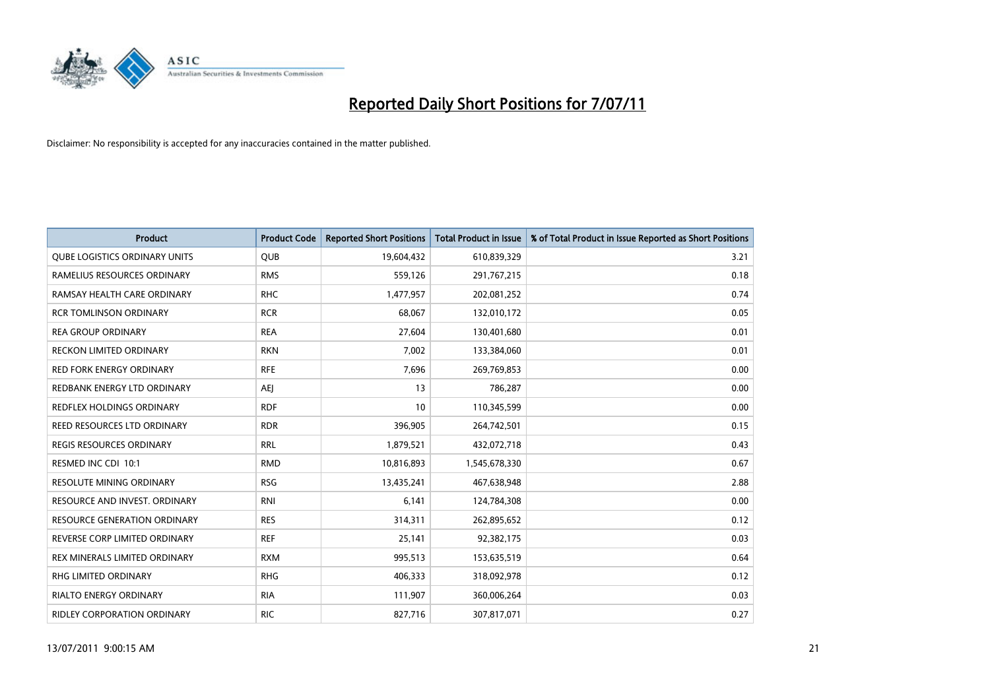

| <b>Product</b>                       | <b>Product Code</b> | <b>Reported Short Positions</b> | <b>Total Product in Issue</b> | % of Total Product in Issue Reported as Short Positions |
|--------------------------------------|---------------------|---------------------------------|-------------------------------|---------------------------------------------------------|
| <b>QUBE LOGISTICS ORDINARY UNITS</b> | <b>QUB</b>          | 19,604,432                      | 610,839,329                   | 3.21                                                    |
| RAMELIUS RESOURCES ORDINARY          | <b>RMS</b>          | 559,126                         | 291,767,215                   | 0.18                                                    |
| RAMSAY HEALTH CARE ORDINARY          | <b>RHC</b>          | 1,477,957                       | 202,081,252                   | 0.74                                                    |
| <b>RCR TOMLINSON ORDINARY</b>        | <b>RCR</b>          | 68,067                          | 132,010,172                   | 0.05                                                    |
| <b>REA GROUP ORDINARY</b>            | <b>REA</b>          | 27,604                          | 130,401,680                   | 0.01                                                    |
| <b>RECKON LIMITED ORDINARY</b>       | <b>RKN</b>          | 7,002                           | 133,384,060                   | 0.01                                                    |
| <b>RED FORK ENERGY ORDINARY</b>      | <b>RFE</b>          | 7,696                           | 269,769,853                   | 0.00                                                    |
| REDBANK ENERGY LTD ORDINARY          | <b>AEI</b>          | 13                              | 786,287                       | 0.00                                                    |
| REDFLEX HOLDINGS ORDINARY            | <b>RDF</b>          | 10                              | 110,345,599                   | 0.00                                                    |
| <b>REED RESOURCES LTD ORDINARY</b>   | <b>RDR</b>          | 396,905                         | 264,742,501                   | 0.15                                                    |
| <b>REGIS RESOURCES ORDINARY</b>      | <b>RRL</b>          | 1,879,521                       | 432,072,718                   | 0.43                                                    |
| RESMED INC CDI 10:1                  | <b>RMD</b>          | 10,816,893                      | 1,545,678,330                 | 0.67                                                    |
| <b>RESOLUTE MINING ORDINARY</b>      | <b>RSG</b>          | 13,435,241                      | 467,638,948                   | 2.88                                                    |
| RESOURCE AND INVEST. ORDINARY        | <b>RNI</b>          | 6,141                           | 124,784,308                   | 0.00                                                    |
| <b>RESOURCE GENERATION ORDINARY</b>  | <b>RES</b>          | 314,311                         | 262,895,652                   | 0.12                                                    |
| REVERSE CORP LIMITED ORDINARY        | <b>REF</b>          | 25,141                          | 92,382,175                    | 0.03                                                    |
| REX MINERALS LIMITED ORDINARY        | <b>RXM</b>          | 995,513                         | 153,635,519                   | 0.64                                                    |
| RHG LIMITED ORDINARY                 | <b>RHG</b>          | 406,333                         | 318,092,978                   | 0.12                                                    |
| <b>RIALTO ENERGY ORDINARY</b>        | <b>RIA</b>          | 111,907                         | 360,006,264                   | 0.03                                                    |
| <b>RIDLEY CORPORATION ORDINARY</b>   | <b>RIC</b>          | 827,716                         | 307,817,071                   | 0.27                                                    |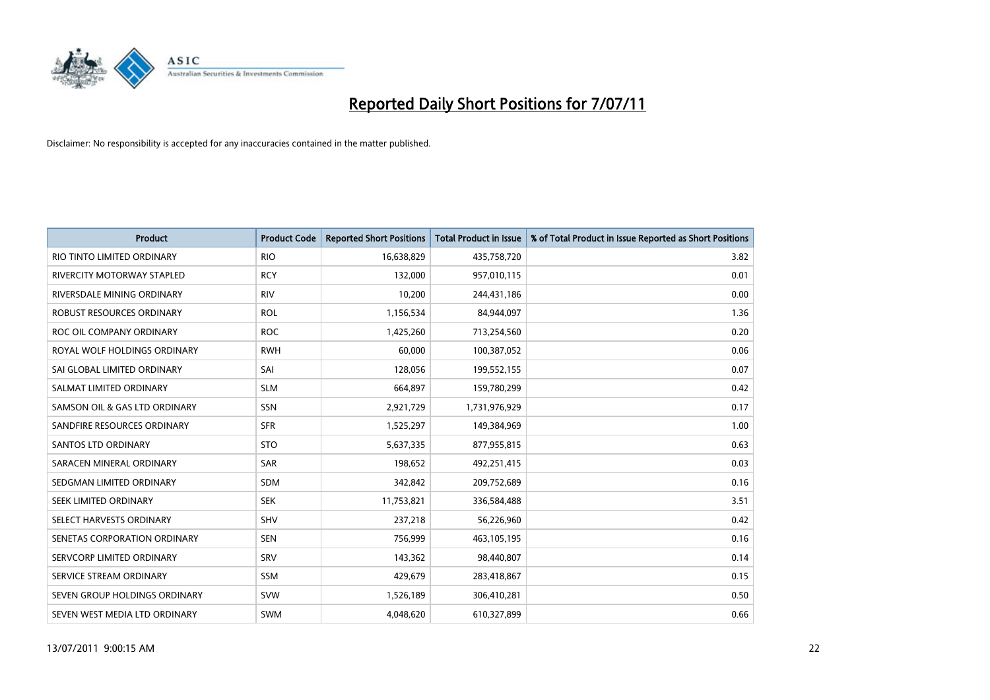

| <b>Product</b>                    | <b>Product Code</b> | <b>Reported Short Positions</b> | <b>Total Product in Issue</b> | % of Total Product in Issue Reported as Short Positions |
|-----------------------------------|---------------------|---------------------------------|-------------------------------|---------------------------------------------------------|
| RIO TINTO LIMITED ORDINARY        | <b>RIO</b>          | 16,638,829                      | 435,758,720                   | 3.82                                                    |
| <b>RIVERCITY MOTORWAY STAPLED</b> | <b>RCY</b>          | 132,000                         | 957,010,115                   | 0.01                                                    |
| RIVERSDALE MINING ORDINARY        | <b>RIV</b>          | 10,200                          | 244,431,186                   | 0.00                                                    |
| ROBUST RESOURCES ORDINARY         | <b>ROL</b>          | 1,156,534                       | 84,944,097                    | 1.36                                                    |
| ROC OIL COMPANY ORDINARY          | <b>ROC</b>          | 1,425,260                       | 713,254,560                   | 0.20                                                    |
| ROYAL WOLF HOLDINGS ORDINARY      | <b>RWH</b>          | 60,000                          | 100,387,052                   | 0.06                                                    |
| SAI GLOBAL LIMITED ORDINARY       | SAI                 | 128.056                         | 199,552,155                   | 0.07                                                    |
| SALMAT LIMITED ORDINARY           | <b>SLM</b>          | 664,897                         | 159,780,299                   | 0.42                                                    |
| SAMSON OIL & GAS LTD ORDINARY     | SSN                 | 2,921,729                       | 1,731,976,929                 | 0.17                                                    |
| SANDFIRE RESOURCES ORDINARY       | <b>SFR</b>          | 1,525,297                       | 149,384,969                   | 1.00                                                    |
| <b>SANTOS LTD ORDINARY</b>        | <b>STO</b>          | 5,637,335                       | 877,955,815                   | 0.63                                                    |
| SARACEN MINERAL ORDINARY          | SAR                 | 198,652                         | 492,251,415                   | 0.03                                                    |
| SEDGMAN LIMITED ORDINARY          | SDM                 | 342,842                         | 209,752,689                   | 0.16                                                    |
| SEEK LIMITED ORDINARY             | <b>SEK</b>          | 11,753,821                      | 336,584,488                   | 3.51                                                    |
| SELECT HARVESTS ORDINARY          | <b>SHV</b>          | 237,218                         | 56,226,960                    | 0.42                                                    |
| SENETAS CORPORATION ORDINARY      | <b>SEN</b>          | 756,999                         | 463,105,195                   | 0.16                                                    |
| SERVCORP LIMITED ORDINARY         | SRV                 | 143,362                         | 98,440,807                    | 0.14                                                    |
| SERVICE STREAM ORDINARY           | <b>SSM</b>          | 429,679                         | 283,418,867                   | 0.15                                                    |
| SEVEN GROUP HOLDINGS ORDINARY     | <b>SVW</b>          | 1,526,189                       | 306,410,281                   | 0.50                                                    |
| SEVEN WEST MEDIA LTD ORDINARY     | <b>SWM</b>          | 4.048.620                       | 610,327,899                   | 0.66                                                    |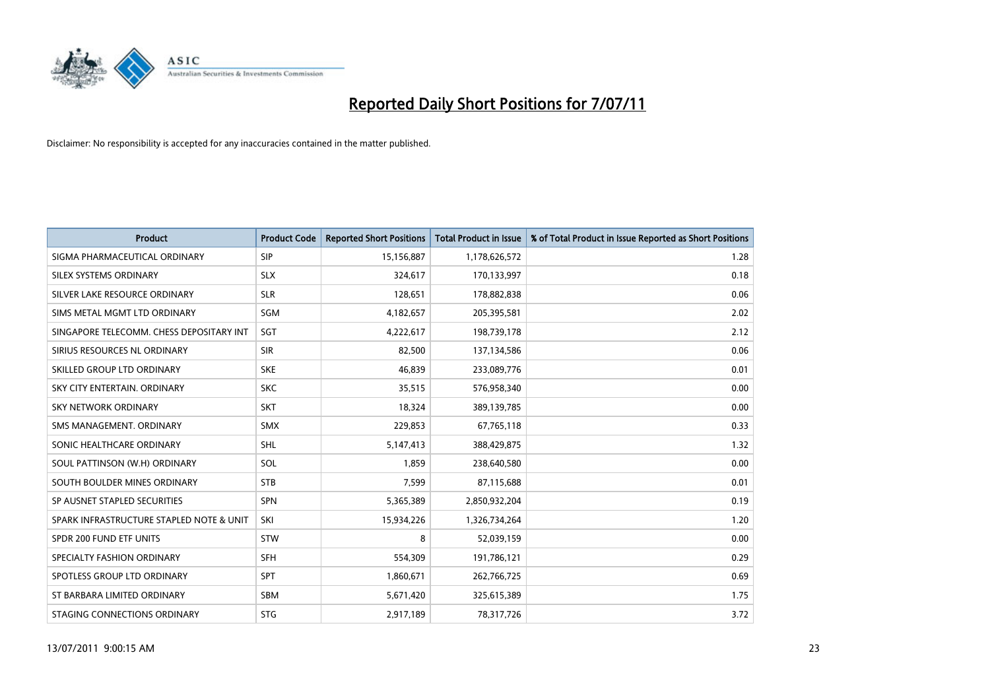

| <b>Product</b>                           | <b>Product Code</b> | <b>Reported Short Positions</b> | <b>Total Product in Issue</b> | % of Total Product in Issue Reported as Short Positions |
|------------------------------------------|---------------------|---------------------------------|-------------------------------|---------------------------------------------------------|
| SIGMA PHARMACEUTICAL ORDINARY            | SIP                 | 15,156,887                      | 1,178,626,572                 | 1.28                                                    |
| SILEX SYSTEMS ORDINARY                   | <b>SLX</b>          | 324,617                         | 170,133,997                   | 0.18                                                    |
| SILVER LAKE RESOURCE ORDINARY            | <b>SLR</b>          | 128,651                         | 178,882,838                   | 0.06                                                    |
| SIMS METAL MGMT LTD ORDINARY             | <b>SGM</b>          | 4,182,657                       | 205,395,581                   | 2.02                                                    |
| SINGAPORE TELECOMM. CHESS DEPOSITARY INT | SGT                 | 4,222,617                       | 198,739,178                   | 2.12                                                    |
| SIRIUS RESOURCES NL ORDINARY             | <b>SIR</b>          | 82,500                          | 137,134,586                   | 0.06                                                    |
| SKILLED GROUP LTD ORDINARY               | <b>SKE</b>          | 46,839                          | 233,089,776                   | 0.01                                                    |
| SKY CITY ENTERTAIN. ORDINARY             | <b>SKC</b>          | 35,515                          | 576,958,340                   | 0.00                                                    |
| <b>SKY NETWORK ORDINARY</b>              | <b>SKT</b>          | 18,324                          | 389,139,785                   | 0.00                                                    |
| SMS MANAGEMENT, ORDINARY                 | <b>SMX</b>          | 229,853                         | 67,765,118                    | 0.33                                                    |
| SONIC HEALTHCARE ORDINARY                | <b>SHL</b>          | 5,147,413                       | 388,429,875                   | 1.32                                                    |
| SOUL PATTINSON (W.H) ORDINARY            | SOL                 | 1,859                           | 238,640,580                   | 0.00                                                    |
| SOUTH BOULDER MINES ORDINARY             | <b>STB</b>          | 7,599                           | 87,115,688                    | 0.01                                                    |
| SP AUSNET STAPLED SECURITIES             | SPN                 | 5,365,389                       | 2,850,932,204                 | 0.19                                                    |
| SPARK INFRASTRUCTURE STAPLED NOTE & UNIT | SKI                 | 15,934,226                      | 1,326,734,264                 | 1.20                                                    |
| SPDR 200 FUND ETF UNITS                  | <b>STW</b>          | 8                               | 52,039,159                    | 0.00                                                    |
| SPECIALTY FASHION ORDINARY               | <b>SFH</b>          | 554,309                         | 191,786,121                   | 0.29                                                    |
| SPOTLESS GROUP LTD ORDINARY              | <b>SPT</b>          | 1,860,671                       | 262,766,725                   | 0.69                                                    |
| ST BARBARA LIMITED ORDINARY              | <b>SBM</b>          | 5,671,420                       | 325,615,389                   | 1.75                                                    |
| STAGING CONNECTIONS ORDINARY             | <b>STG</b>          | 2,917,189                       | 78,317,726                    | 3.72                                                    |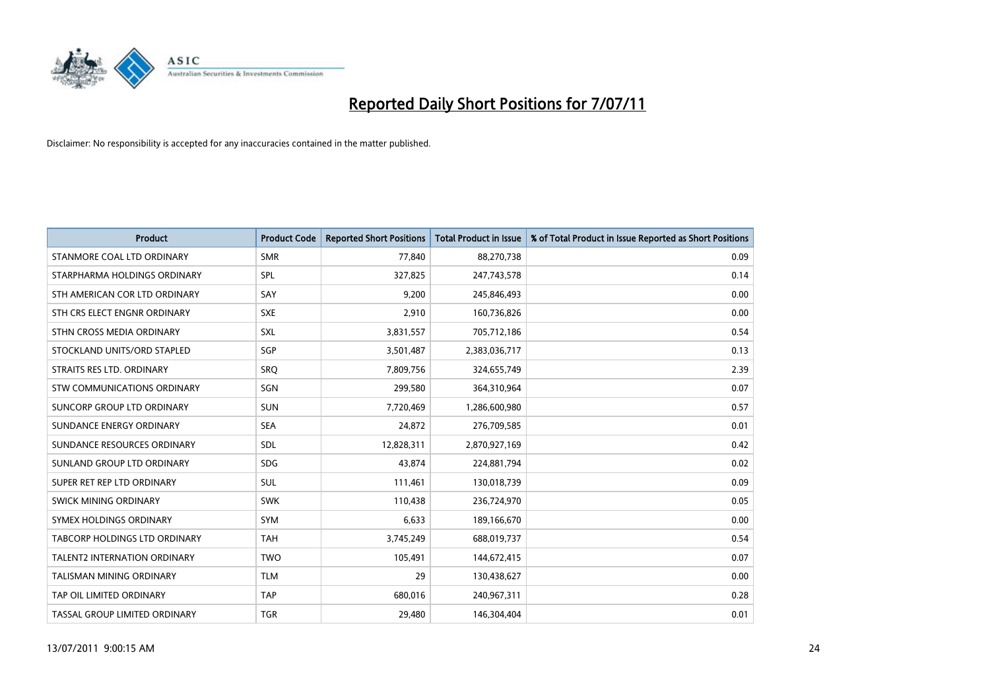

| <b>Product</b>                     | <b>Product Code</b> | <b>Reported Short Positions</b> | <b>Total Product in Issue</b> | % of Total Product in Issue Reported as Short Positions |
|------------------------------------|---------------------|---------------------------------|-------------------------------|---------------------------------------------------------|
| STANMORE COAL LTD ORDINARY         | <b>SMR</b>          | 77,840                          | 88,270,738                    | 0.09                                                    |
| STARPHARMA HOLDINGS ORDINARY       | <b>SPL</b>          | 327,825                         | 247,743,578                   | 0.14                                                    |
| STH AMERICAN COR LTD ORDINARY      | SAY                 | 9,200                           | 245,846,493                   | 0.00                                                    |
| STH CRS ELECT ENGNR ORDINARY       | <b>SXE</b>          | 2,910                           | 160,736,826                   | 0.00                                                    |
| STHN CROSS MEDIA ORDINARY          | <b>SXL</b>          | 3,831,557                       | 705,712,186                   | 0.54                                                    |
| STOCKLAND UNITS/ORD STAPLED        | SGP                 | 3,501,487                       | 2,383,036,717                 | 0.13                                                    |
| STRAITS RES LTD. ORDINARY          | <b>SRO</b>          | 7,809,756                       | 324,655,749                   | 2.39                                                    |
| <b>STW COMMUNICATIONS ORDINARY</b> | SGN                 | 299,580                         | 364,310,964                   | 0.07                                                    |
| SUNCORP GROUP LTD ORDINARY         | <b>SUN</b>          | 7,720,469                       | 1,286,600,980                 | 0.57                                                    |
| SUNDANCE ENERGY ORDINARY           | <b>SEA</b>          | 24,872                          | 276,709,585                   | 0.01                                                    |
| SUNDANCE RESOURCES ORDINARY        | <b>SDL</b>          | 12,828,311                      | 2,870,927,169                 | 0.42                                                    |
| SUNLAND GROUP LTD ORDINARY         | <b>SDG</b>          | 43.874                          | 224,881,794                   | 0.02                                                    |
| SUPER RET REP LTD ORDINARY         | <b>SUL</b>          | 111,461                         | 130,018,739                   | 0.09                                                    |
| SWICK MINING ORDINARY              | <b>SWK</b>          | 110,438                         | 236,724,970                   | 0.05                                                    |
| SYMEX HOLDINGS ORDINARY            | <b>SYM</b>          | 6,633                           | 189,166,670                   | 0.00                                                    |
| TABCORP HOLDINGS LTD ORDINARY      | <b>TAH</b>          | 3,745,249                       | 688,019,737                   | 0.54                                                    |
| TALENT2 INTERNATION ORDINARY       | <b>TWO</b>          | 105,491                         | 144,672,415                   | 0.07                                                    |
| <b>TALISMAN MINING ORDINARY</b>    | <b>TLM</b>          | 29                              | 130,438,627                   | 0.00                                                    |
| TAP OIL LIMITED ORDINARY           | <b>TAP</b>          | 680,016                         | 240,967,311                   | 0.28                                                    |
| TASSAL GROUP LIMITED ORDINARY      | <b>TGR</b>          | 29,480                          | 146,304,404                   | 0.01                                                    |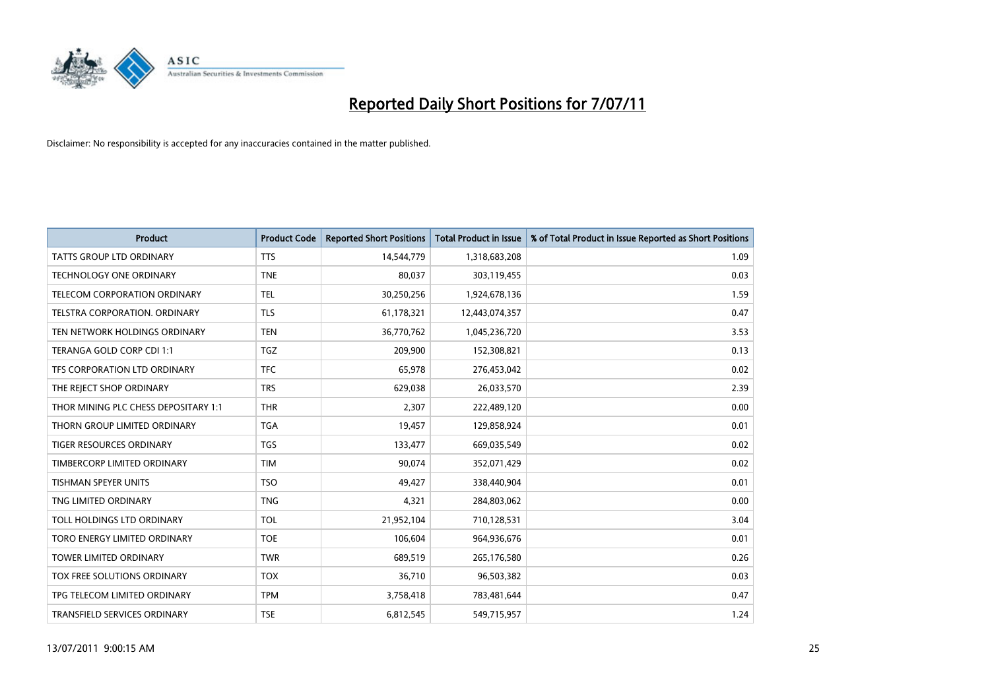

| <b>Product</b>                       | <b>Product Code</b> | <b>Reported Short Positions</b> | <b>Total Product in Issue</b> | % of Total Product in Issue Reported as Short Positions |
|--------------------------------------|---------------------|---------------------------------|-------------------------------|---------------------------------------------------------|
| <b>TATTS GROUP LTD ORDINARY</b>      | <b>TTS</b>          | 14,544,779                      | 1,318,683,208                 | 1.09                                                    |
| <b>TECHNOLOGY ONE ORDINARY</b>       | <b>TNE</b>          | 80.037                          | 303,119,455                   | 0.03                                                    |
| TELECOM CORPORATION ORDINARY         | <b>TEL</b>          | 30,250,256                      | 1,924,678,136                 | 1.59                                                    |
| TELSTRA CORPORATION. ORDINARY        | <b>TLS</b>          | 61,178,321                      | 12,443,074,357                | 0.47                                                    |
| TEN NETWORK HOLDINGS ORDINARY        | <b>TEN</b>          | 36,770,762                      | 1,045,236,720                 | 3.53                                                    |
| TERANGA GOLD CORP CDI 1:1            | <b>TGZ</b>          | 209,900                         | 152,308,821                   | 0.13                                                    |
| TFS CORPORATION LTD ORDINARY         | <b>TFC</b>          | 65,978                          | 276,453,042                   | 0.02                                                    |
| THE REJECT SHOP ORDINARY             | <b>TRS</b>          | 629,038                         | 26,033,570                    | 2.39                                                    |
| THOR MINING PLC CHESS DEPOSITARY 1:1 | <b>THR</b>          | 2,307                           | 222,489,120                   | 0.00                                                    |
| THORN GROUP LIMITED ORDINARY         | <b>TGA</b>          | 19,457                          | 129,858,924                   | 0.01                                                    |
| <b>TIGER RESOURCES ORDINARY</b>      | <b>TGS</b>          | 133,477                         | 669,035,549                   | 0.02                                                    |
| TIMBERCORP LIMITED ORDINARY          | <b>TIM</b>          | 90,074                          | 352,071,429                   | 0.02                                                    |
| <b>TISHMAN SPEYER UNITS</b>          | <b>TSO</b>          | 49.427                          | 338,440,904                   | 0.01                                                    |
| TNG LIMITED ORDINARY                 | <b>TNG</b>          | 4,321                           | 284,803,062                   | 0.00                                                    |
| TOLL HOLDINGS LTD ORDINARY           | <b>TOL</b>          | 21,952,104                      | 710,128,531                   | 3.04                                                    |
| TORO ENERGY LIMITED ORDINARY         | <b>TOE</b>          | 106,604                         | 964,936,676                   | 0.01                                                    |
| <b>TOWER LIMITED ORDINARY</b>        | <b>TWR</b>          | 689,519                         | 265,176,580                   | 0.26                                                    |
| TOX FREE SOLUTIONS ORDINARY          | <b>TOX</b>          | 36,710                          | 96,503,382                    | 0.03                                                    |
| TPG TELECOM LIMITED ORDINARY         | <b>TPM</b>          | 3,758,418                       | 783,481,644                   | 0.47                                                    |
| TRANSFIELD SERVICES ORDINARY         | <b>TSE</b>          | 6.812.545                       | 549,715,957                   | 1.24                                                    |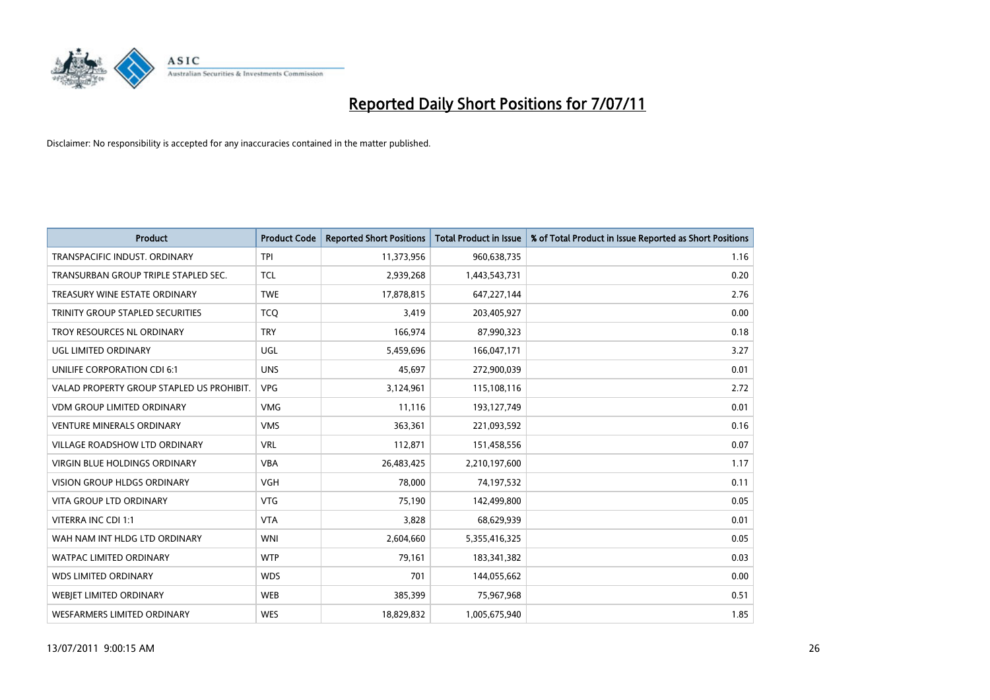

| <b>Product</b>                            | <b>Product Code</b> | <b>Reported Short Positions</b> | <b>Total Product in Issue</b> | % of Total Product in Issue Reported as Short Positions |
|-------------------------------------------|---------------------|---------------------------------|-------------------------------|---------------------------------------------------------|
| TRANSPACIFIC INDUST, ORDINARY             | <b>TPI</b>          | 11,373,956                      | 960,638,735                   | 1.16                                                    |
| TRANSURBAN GROUP TRIPLE STAPLED SEC.      | <b>TCL</b>          | 2,939,268                       | 1,443,543,731                 | 0.20                                                    |
| TREASURY WINE ESTATE ORDINARY             | <b>TWE</b>          | 17,878,815                      | 647,227,144                   | 2.76                                                    |
| TRINITY GROUP STAPLED SECURITIES          | <b>TCQ</b>          | 3,419                           | 203,405,927                   | 0.00                                                    |
| TROY RESOURCES NL ORDINARY                | <b>TRY</b>          | 166,974                         | 87,990,323                    | 0.18                                                    |
| UGL LIMITED ORDINARY                      | UGL                 | 5,459,696                       | 166,047,171                   | 3.27                                                    |
| UNILIFE CORPORATION CDI 6:1               | <b>UNS</b>          | 45,697                          | 272,900,039                   | 0.01                                                    |
| VALAD PROPERTY GROUP STAPLED US PROHIBIT. | <b>VPG</b>          | 3,124,961                       | 115,108,116                   | 2.72                                                    |
| <b>VDM GROUP LIMITED ORDINARY</b>         | <b>VMG</b>          | 11,116                          | 193,127,749                   | 0.01                                                    |
| <b>VENTURE MINERALS ORDINARY</b>          | <b>VMS</b>          | 363,361                         | 221,093,592                   | 0.16                                                    |
| VILLAGE ROADSHOW LTD ORDINARY             | <b>VRL</b>          | 112,871                         | 151,458,556                   | 0.07                                                    |
| VIRGIN BLUE HOLDINGS ORDINARY             | <b>VBA</b>          | 26,483,425                      | 2,210,197,600                 | 1.17                                                    |
| <b>VISION GROUP HLDGS ORDINARY</b>        | <b>VGH</b>          | 78,000                          | 74,197,532                    | 0.11                                                    |
| <b>VITA GROUP LTD ORDINARY</b>            | <b>VTG</b>          | 75,190                          | 142,499,800                   | 0.05                                                    |
| VITERRA INC CDI 1:1                       | <b>VTA</b>          | 3,828                           | 68,629,939                    | 0.01                                                    |
| WAH NAM INT HLDG LTD ORDINARY             | <b>WNI</b>          | 2,604,660                       | 5,355,416,325                 | 0.05                                                    |
| WATPAC LIMITED ORDINARY                   | <b>WTP</b>          | 79,161                          | 183,341,382                   | 0.03                                                    |
| <b>WDS LIMITED ORDINARY</b>               | <b>WDS</b>          | 701                             | 144,055,662                   | 0.00                                                    |
| WEBJET LIMITED ORDINARY                   | <b>WEB</b>          | 385,399                         | 75,967,968                    | 0.51                                                    |
| WESFARMERS LIMITED ORDINARY               | <b>WES</b>          | 18,829,832                      | 1,005,675,940                 | 1.85                                                    |